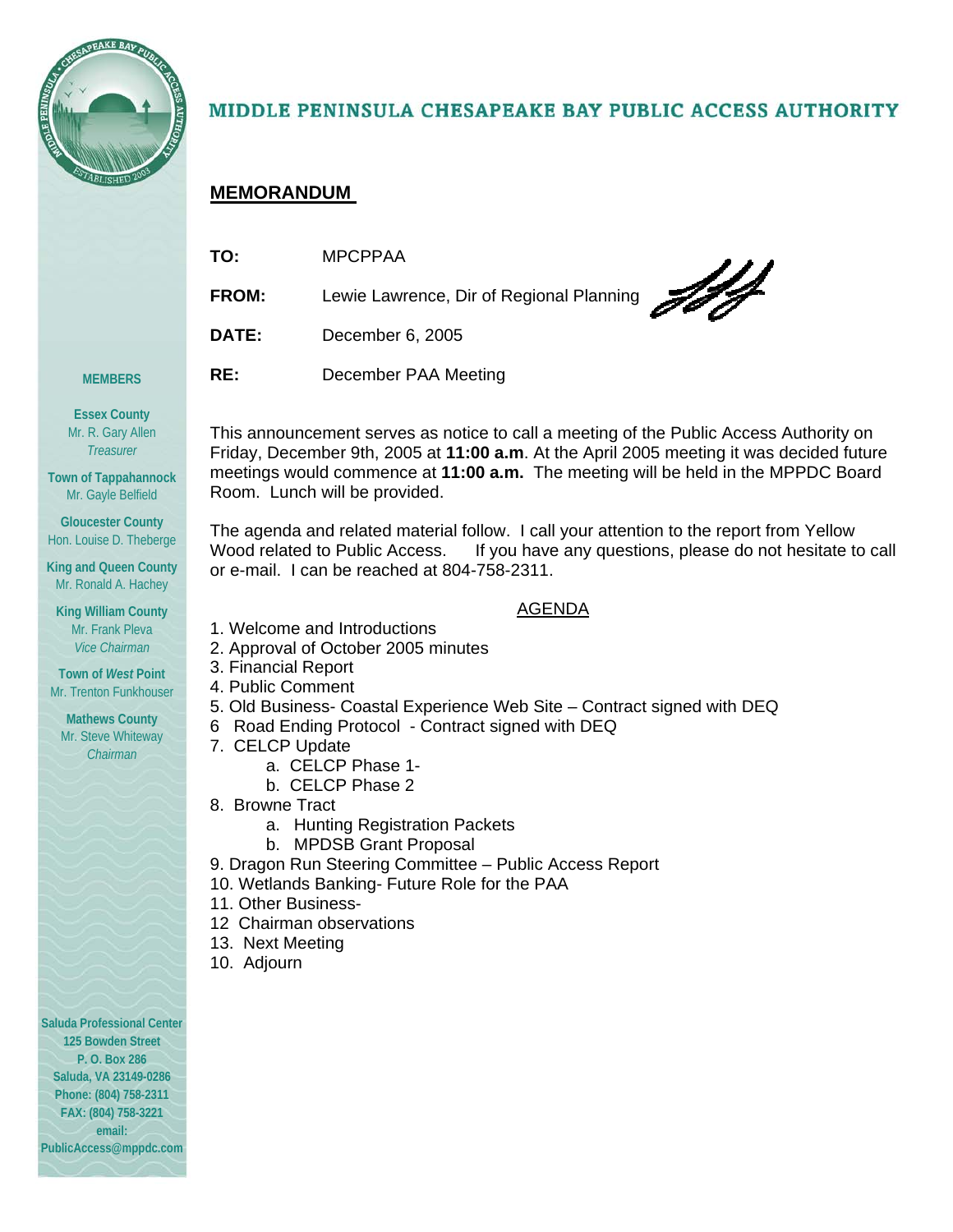

## MIDDLE PENINSULA CHESAPEAKE BAY PUBLIC ACCESS AUTHORITY

## **MEMORANDUM**

| TO:          | <b>MPCPPAA</b>                                         |
|--------------|--------------------------------------------------------|
| <b>FROM:</b> | $\sqrt{d}$<br>Lewie Lawrence, Dir of Regional Planning |
| DATE:        | December 6, 2005                                       |
| RE:          | December PAA Meeting                                   |

**MEMBERS Essex County** 

Mr. R. Gary Allen *Treasurer* 

**Town of Tappahannock**  Mr. Gayle Belfield

**Gloucester County**  Hon. Louise D. Theberge

**King and Queen County**  Mr. Ronald A. Hachey

**King William County**  Mr. Frank Pleva *Vice Chairman* 

**Town of** *West* **Point**  Mr. Trenton Funkhouser

**Mathews County**  Mr. Steve Whiteway *Chairman* 

**Saluda Professional Center 125 Bowden Street P. O. Box 286 Saluda, VA 23149-0286 Phone: (804) 758-2311 FAX: (804) 758-3221 email: PublicAccess@mppdc.com**

This announcement serves as notice to call a meeting of the Public Access Authority on Friday, December 9th, 2005 at **11:00 a.m**. At the April 2005 meeting it was decided future meetings would commence at **11:00 a.m.** The meeting will be held in the MPPDC Board Room. Lunch will be provided.

The agenda and related material follow. I call your attention to the report from Yellow Wood related to Public Access. If you have any questions, please do not hesitate to call or e-mail. I can be reached at 804-758-2311.

## AGENDA

- 1. Welcome and Introductions
- 2. Approval of October 2005 minutes
- 3. Financial Report
- 4. Public Comment
- 5. Old Business- Coastal Experience Web Site Contract signed with DEQ
- 6 Road Ending Protocol Contract signed with DEQ
- 7. CELCP Update
	- a. CELCP Phase 1-
	- b. CELCP Phase 2
- 8. Browne Tract
	- a. Hunting Registration Packets
	- b. MPDSB Grant Proposal
- 9. Dragon Run Steering Committee Public Access Report
- 10. Wetlands Banking- Future Role for the PAA
- 11. Other Business-
- 12 Chairman observations
- 13. Next Meeting
- 10. Adjourn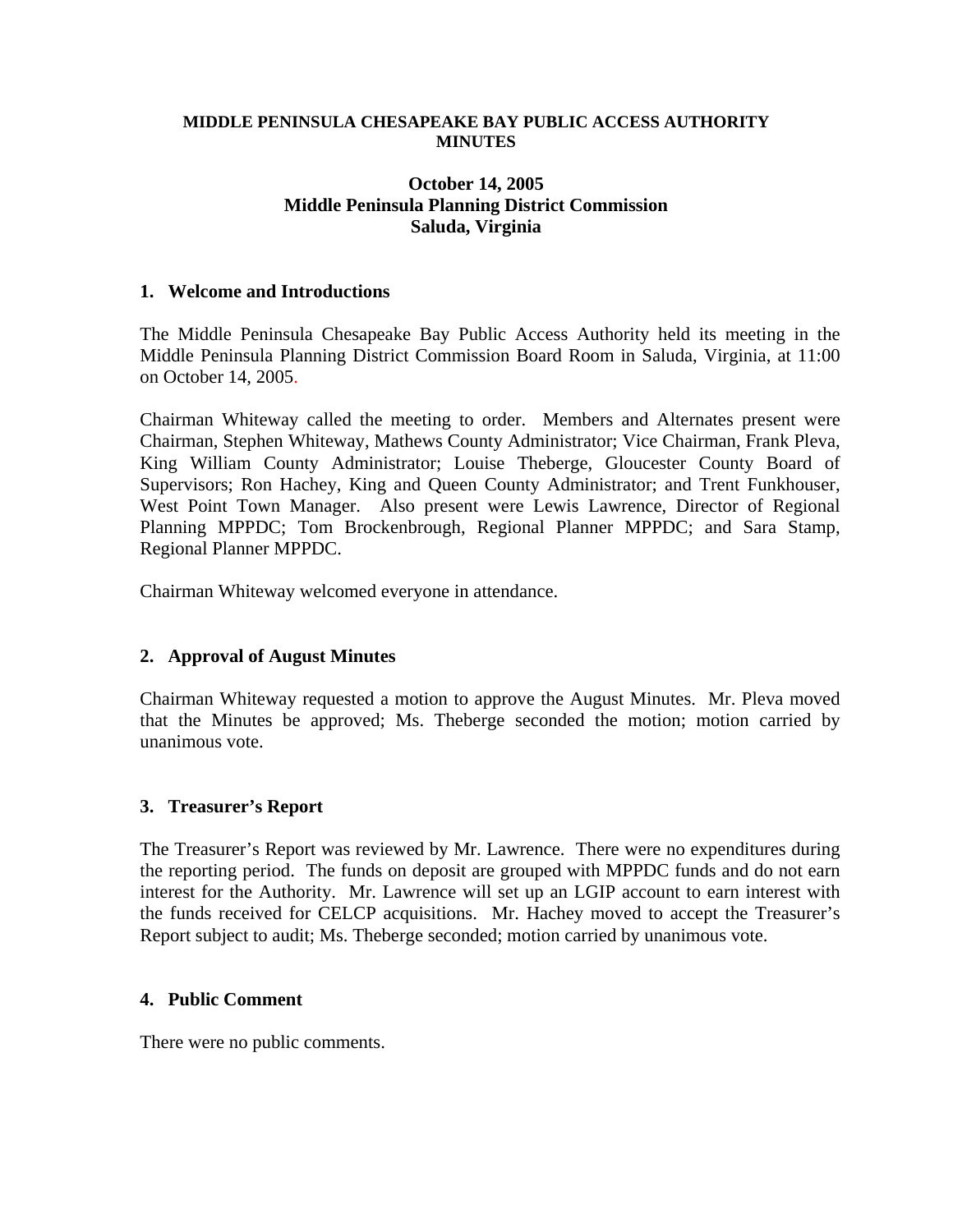#### **MIDDLE PENINSULA CHESAPEAKE BAY PUBLIC ACCESS AUTHORITY MINUTES**

## **October 14, 2005 Middle Peninsula Planning District Commission Saluda, Virginia**

#### **1. Welcome and Introductions**

The Middle Peninsula Chesapeake Bay Public Access Authority held its meeting in the Middle Peninsula Planning District Commission Board Room in Saluda, Virginia, at 11:00 on October 14, 2005.

Chairman Whiteway called the meeting to order. Members and Alternates present were Chairman, Stephen Whiteway, Mathews County Administrator; Vice Chairman, Frank Pleva, King William County Administrator; Louise Theberge, Gloucester County Board of Supervisors; Ron Hachey, King and Queen County Administrator; and Trent Funkhouser, West Point Town Manager. Also present were Lewis Lawrence, Director of Regional Planning MPPDC; Tom Brockenbrough, Regional Planner MPPDC; and Sara Stamp, Regional Planner MPPDC.

Chairman Whiteway welcomed everyone in attendance.

## **2. Approval of August Minutes**

Chairman Whiteway requested a motion to approve the August Minutes. Mr. Pleva moved that the Minutes be approved; Ms. Theberge seconded the motion; motion carried by unanimous vote.

## **3. Treasurer's Report**

The Treasurer's Report was reviewed by Mr. Lawrence. There were no expenditures during the reporting period. The funds on deposit are grouped with MPPDC funds and do not earn interest for the Authority. Mr. Lawrence will set up an LGIP account to earn interest with the funds received for CELCP acquisitions. Mr. Hachey moved to accept the Treasurer's Report subject to audit; Ms. Theberge seconded; motion carried by unanimous vote.

#### **4. Public Comment**

There were no public comments.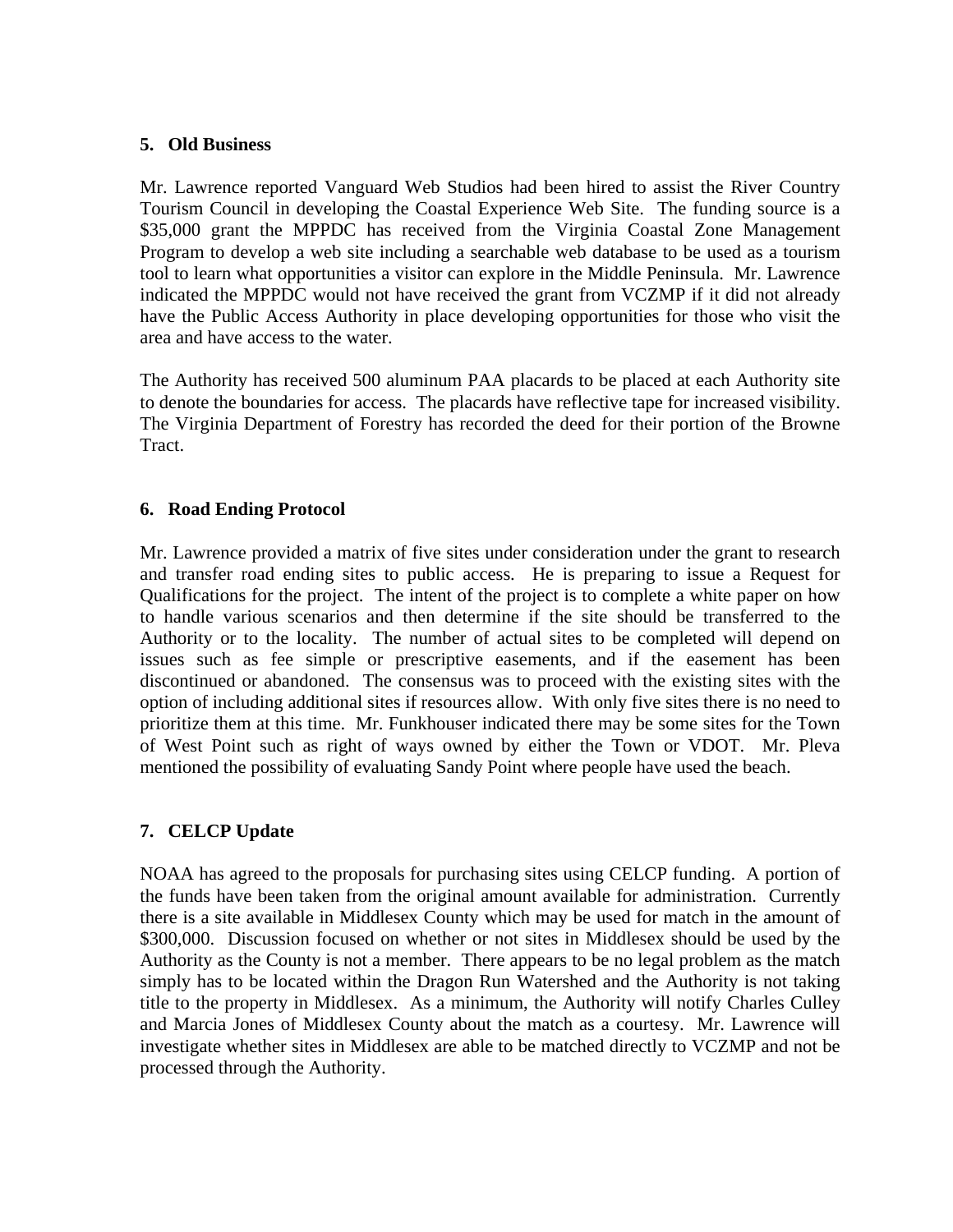## **5. Old Business**

Mr. Lawrence reported Vanguard Web Studios had been hired to assist the River Country Tourism Council in developing the Coastal Experience Web Site. The funding source is a \$35,000 grant the MPPDC has received from the Virginia Coastal Zone Management Program to develop a web site including a searchable web database to be used as a tourism tool to learn what opportunities a visitor can explore in the Middle Peninsula. Mr. Lawrence indicated the MPPDC would not have received the grant from VCZMP if it did not already have the Public Access Authority in place developing opportunities for those who visit the area and have access to the water.

The Authority has received 500 aluminum PAA placards to be placed at each Authority site to denote the boundaries for access. The placards have reflective tape for increased visibility. The Virginia Department of Forestry has recorded the deed for their portion of the Browne Tract.

## **6. Road Ending Protocol**

Mr. Lawrence provided a matrix of five sites under consideration under the grant to research and transfer road ending sites to public access. He is preparing to issue a Request for Qualifications for the project. The intent of the project is to complete a white paper on how to handle various scenarios and then determine if the site should be transferred to the Authority or to the locality. The number of actual sites to be completed will depend on issues such as fee simple or prescriptive easements, and if the easement has been discontinued or abandoned. The consensus was to proceed with the existing sites with the option of including additional sites if resources allow. With only five sites there is no need to prioritize them at this time. Mr. Funkhouser indicated there may be some sites for the Town of West Point such as right of ways owned by either the Town or VDOT. Mr. Pleva mentioned the possibility of evaluating Sandy Point where people have used the beach.

## **7. CELCP Update**

NOAA has agreed to the proposals for purchasing sites using CELCP funding. A portion of the funds have been taken from the original amount available for administration. Currently there is a site available in Middlesex County which may be used for match in the amount of \$300,000. Discussion focused on whether or not sites in Middlesex should be used by the Authority as the County is not a member. There appears to be no legal problem as the match simply has to be located within the Dragon Run Watershed and the Authority is not taking title to the property in Middlesex. As a minimum, the Authority will notify Charles Culley and Marcia Jones of Middlesex County about the match as a courtesy. Mr. Lawrence will investigate whether sites in Middlesex are able to be matched directly to VCZMP and not be processed through the Authority.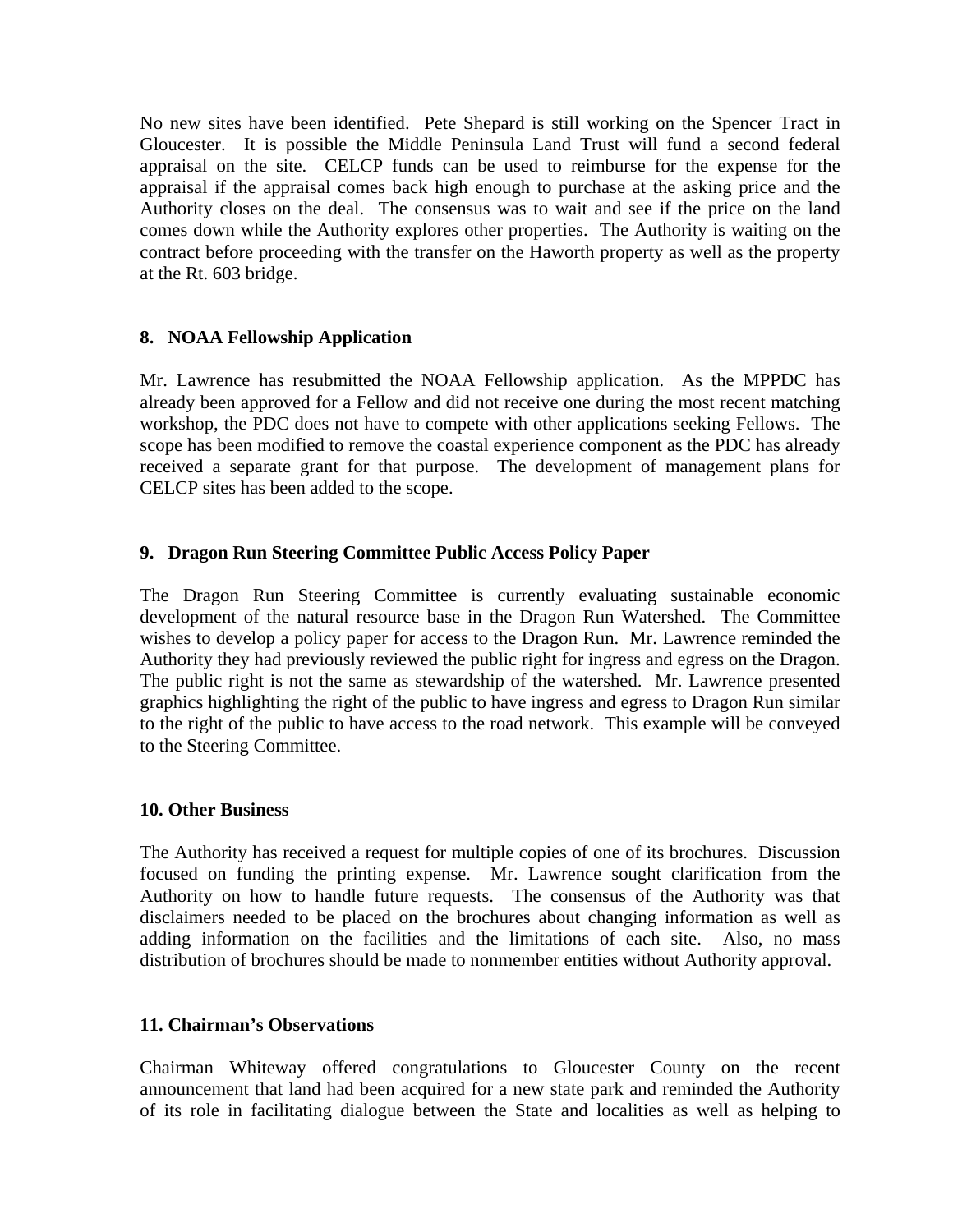No new sites have been identified. Pete Shepard is still working on the Spencer Tract in Gloucester. It is possible the Middle Peninsula Land Trust will fund a second federal appraisal on the site. CELCP funds can be used to reimburse for the expense for the appraisal if the appraisal comes back high enough to purchase at the asking price and the Authority closes on the deal. The consensus was to wait and see if the price on the land comes down while the Authority explores other properties. The Authority is waiting on the contract before proceeding with the transfer on the Haworth property as well as the property at the Rt. 603 bridge.

## **8. NOAA Fellowship Application**

Mr. Lawrence has resubmitted the NOAA Fellowship application. As the MPPDC has already been approved for a Fellow and did not receive one during the most recent matching workshop, the PDC does not have to compete with other applications seeking Fellows. The scope has been modified to remove the coastal experience component as the PDC has already received a separate grant for that purpose. The development of management plans for CELCP sites has been added to the scope.

## **9. Dragon Run Steering Committee Public Access Policy Paper**

The Dragon Run Steering Committee is currently evaluating sustainable economic development of the natural resource base in the Dragon Run Watershed. The Committee wishes to develop a policy paper for access to the Dragon Run. Mr. Lawrence reminded the Authority they had previously reviewed the public right for ingress and egress on the Dragon. The public right is not the same as stewardship of the watershed. Mr. Lawrence presented graphics highlighting the right of the public to have ingress and egress to Dragon Run similar to the right of the public to have access to the road network. This example will be conveyed to the Steering Committee.

## **10. Other Business**

The Authority has received a request for multiple copies of one of its brochures. Discussion focused on funding the printing expense. Mr. Lawrence sought clarification from the Authority on how to handle future requests. The consensus of the Authority was that disclaimers needed to be placed on the brochures about changing information as well as adding information on the facilities and the limitations of each site. Also, no mass distribution of brochures should be made to nonmember entities without Authority approval.

## **11. Chairman's Observations**

Chairman Whiteway offered congratulations to Gloucester County on the recent announcement that land had been acquired for a new state park and reminded the Authority of its role in facilitating dialogue between the State and localities as well as helping to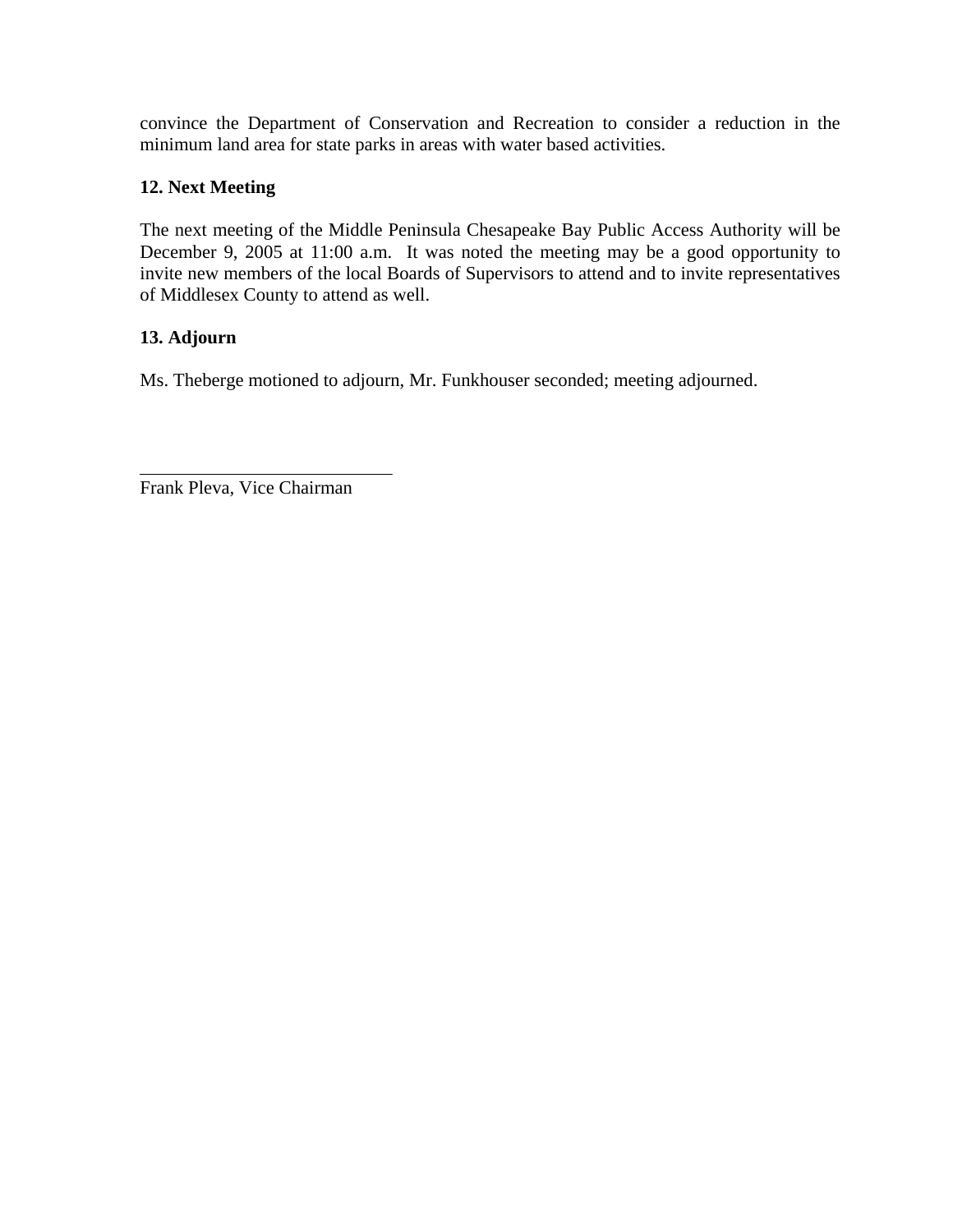convince the Department of Conservation and Recreation to consider a reduction in the minimum land area for state parks in areas with water based activities.

## **12. Next Meeting**

The next meeting of the Middle Peninsula Chesapeake Bay Public Access Authority will be December 9, 2005 at 11:00 a.m. It was noted the meeting may be a good opportunity to invite new members of the local Boards of Supervisors to attend and to invite representatives of Middlesex County to attend as well.

## **13. Adjourn**

Ms. Theberge motioned to adjourn, Mr. Funkhouser seconded; meeting adjourned.

Frank Pleva, Vice Chairman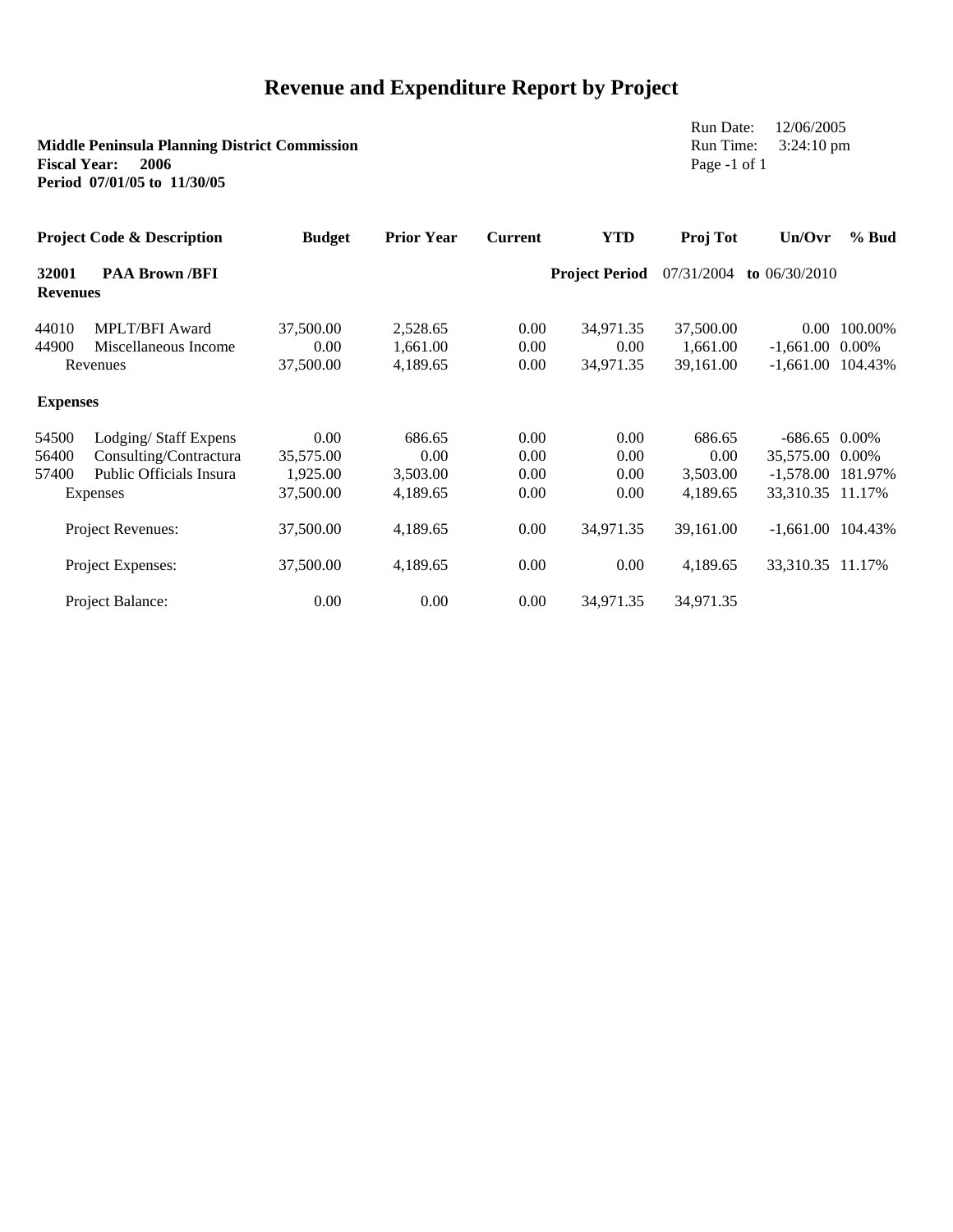## **Revenue and Expenditure Report by Project**

| Run Date:<br>Run Time:<br><b>Middle Peninsula Planning District Commission</b><br><b>Fiscal Year:</b><br>2006<br>Page -1 of 1<br>Period 07/01/05 to 11/30/05 |                         |               |                   |                |                       |           |                          | 12/06/2005<br>$3:24:10 \text{ pm}$ |  |
|--------------------------------------------------------------------------------------------------------------------------------------------------------------|-------------------------|---------------|-------------------|----------------|-----------------------|-----------|--------------------------|------------------------------------|--|
| <b>Project Code &amp; Description</b><br>32001<br><b>PAA Brown /BFI</b><br><b>Revenues</b>                                                                   |                         | <b>Budget</b> | <b>Prior Year</b> | <b>Current</b> | <b>YTD</b>            | Proj Tot  | Un/Ovr                   | $%$ Bud                            |  |
|                                                                                                                                                              |                         |               |                   |                | <b>Project Period</b> |           | 07/31/2004 to 06/30/2010 |                                    |  |
| 44010                                                                                                                                                        | <b>MPLT/BFI Award</b>   | 37,500.00     | 2,528.65          | 0.00           | 34,971.35             | 37,500.00 |                          | 0.00 100.00%                       |  |
| 44900                                                                                                                                                        | Miscellaneous Income    | 0.00          | 1,661.00          | 0.00           | 0.00                  | 1,661.00  | $-1,661.00$ 0.00%        |                                    |  |
| Revenues                                                                                                                                                     |                         | 37,500.00     | 4,189.65          | 0.00           | 34,971.35             | 39,161.00 | $-1,661.00$ 104.43%      |                                    |  |
| <b>Expenses</b>                                                                                                                                              |                         |               |                   |                |                       |           |                          |                                    |  |
| 54500                                                                                                                                                        | Lodging/Staff Expens    | 0.00          | 686.65            | 0.00           | 0.00                  | 686.65    | $-686.65$ 0.00%          |                                    |  |
| 56400                                                                                                                                                        | Consulting/Contractura  | 35,575.00     | 0.00              | 0.00           | 0.00                  | 0.00      | 35,575.00 0.00%          |                                    |  |
| 57400                                                                                                                                                        | Public Officials Insura | 1,925.00      | 3,503.00          | 0.00           | 0.00                  | 3,503.00  | $-1,578.00$ 181.97%      |                                    |  |
| Expenses                                                                                                                                                     |                         | 37,500.00     | 4,189.65          | 0.00           | 0.00                  | 4,189.65  | 33,310.35 11.17%         |                                    |  |
| Project Revenues:                                                                                                                                            |                         | 37,500.00     | 4,189.65          | 0.00           | 34,971.35             | 39,161.00 | $-1,661.00$ 104.43%      |                                    |  |
| Project Expenses:                                                                                                                                            |                         | 37,500.00     | 4,189.65          | 0.00           | 0.00                  | 4,189.65  | 33,310.35 11.17%         |                                    |  |
| <b>Project Balance:</b>                                                                                                                                      |                         | 0.00          | 0.00              | 0.00           | 34,971.35             | 34,971.35 |                          |                                    |  |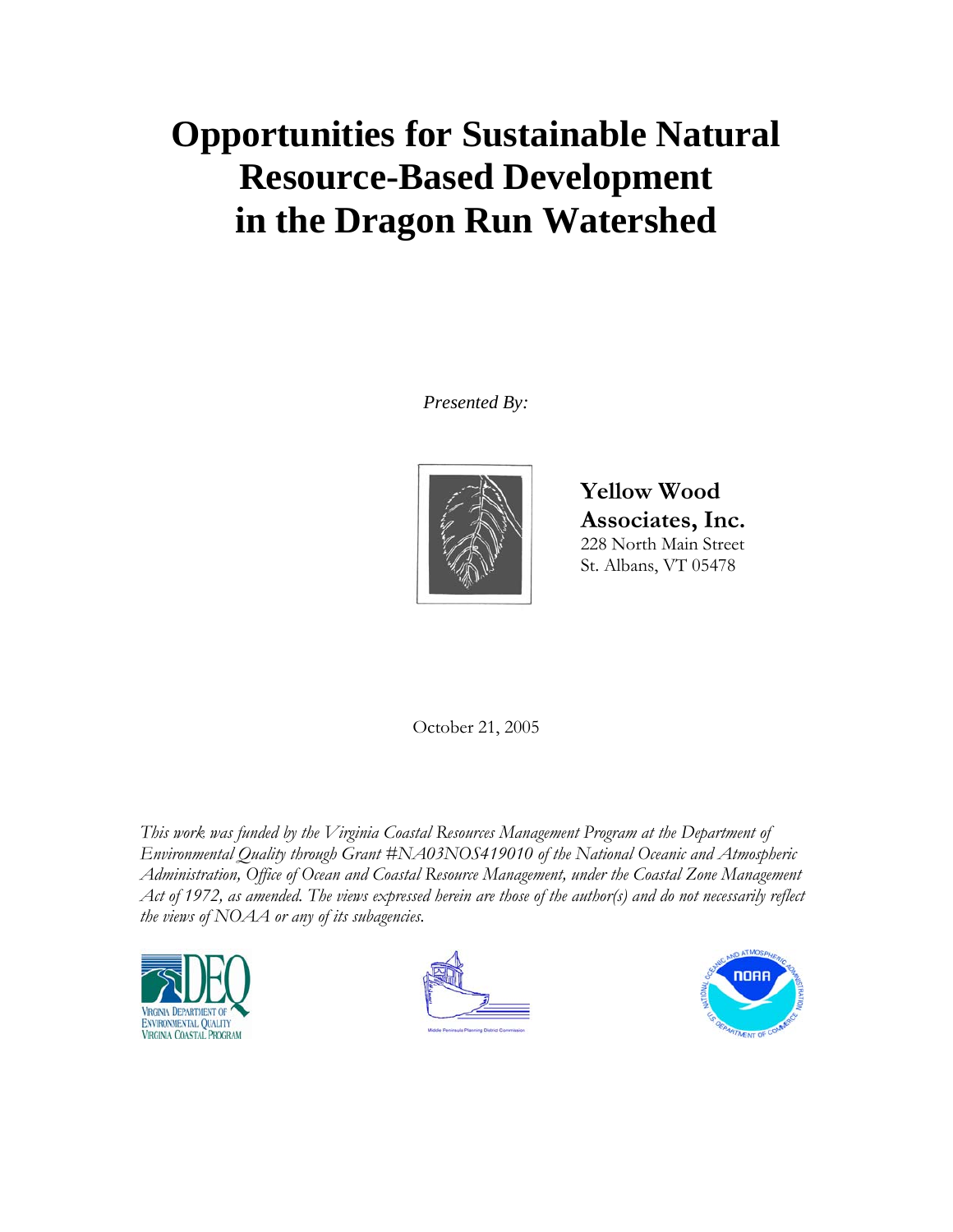# **Opportunities for Sustainable Natural Resource-Based Development in the Dragon Run Watershed**

*Presented By:* 



**Yellow Wood Associates, Inc.**  228 North Main Street St. Albans, VT 05478

October 21, 2005

*This work was funded by the Virginia Coastal Resources Management Program at the Department of Environmental Quality through Grant #NA03NOS419010 of the National Oceanic and Atmospheric Administration, Office of Ocean and Coastal Resource Management, under the Coastal Zone Management Act of 1972, as amended. The views expressed herein are those of the author(s) and do not necessarily reflect the views of NOAA or any of its subagencies.* 





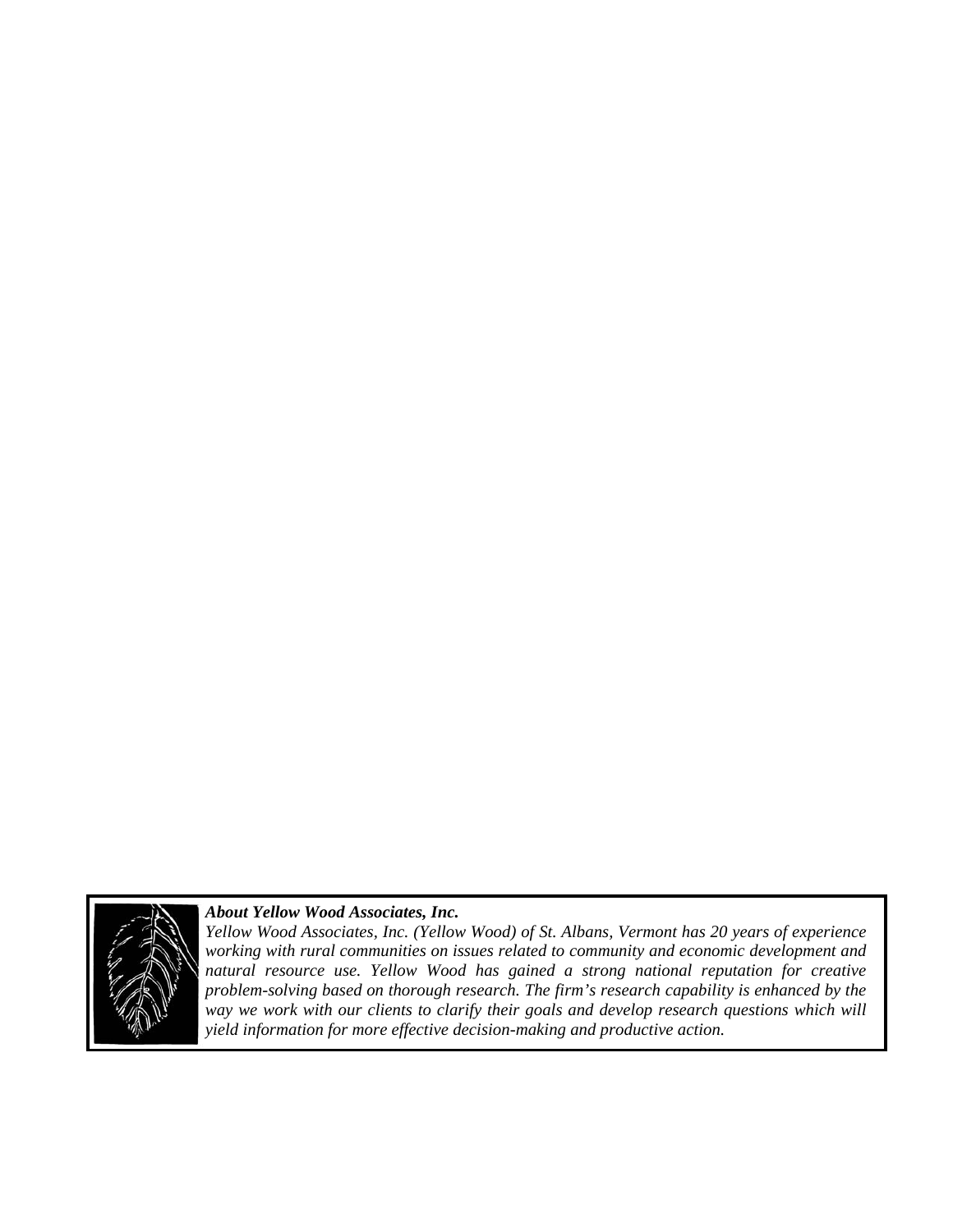

## *About Yellow Wood Associates, Inc.*

*Yellow Wood Associates, Inc. (Yellow Wood) of St. Albans, Vermont has 20 years of experience working with rural communities on issues related to community and economic development and natural resource use. Yellow Wood has gained a strong national reputation for creative problem-solving based on thorough research. The firm's research capability is enhanced by the way we work with our clients to clarify their goals and develop research questions which will yield information for more effective decision-making and productive action.*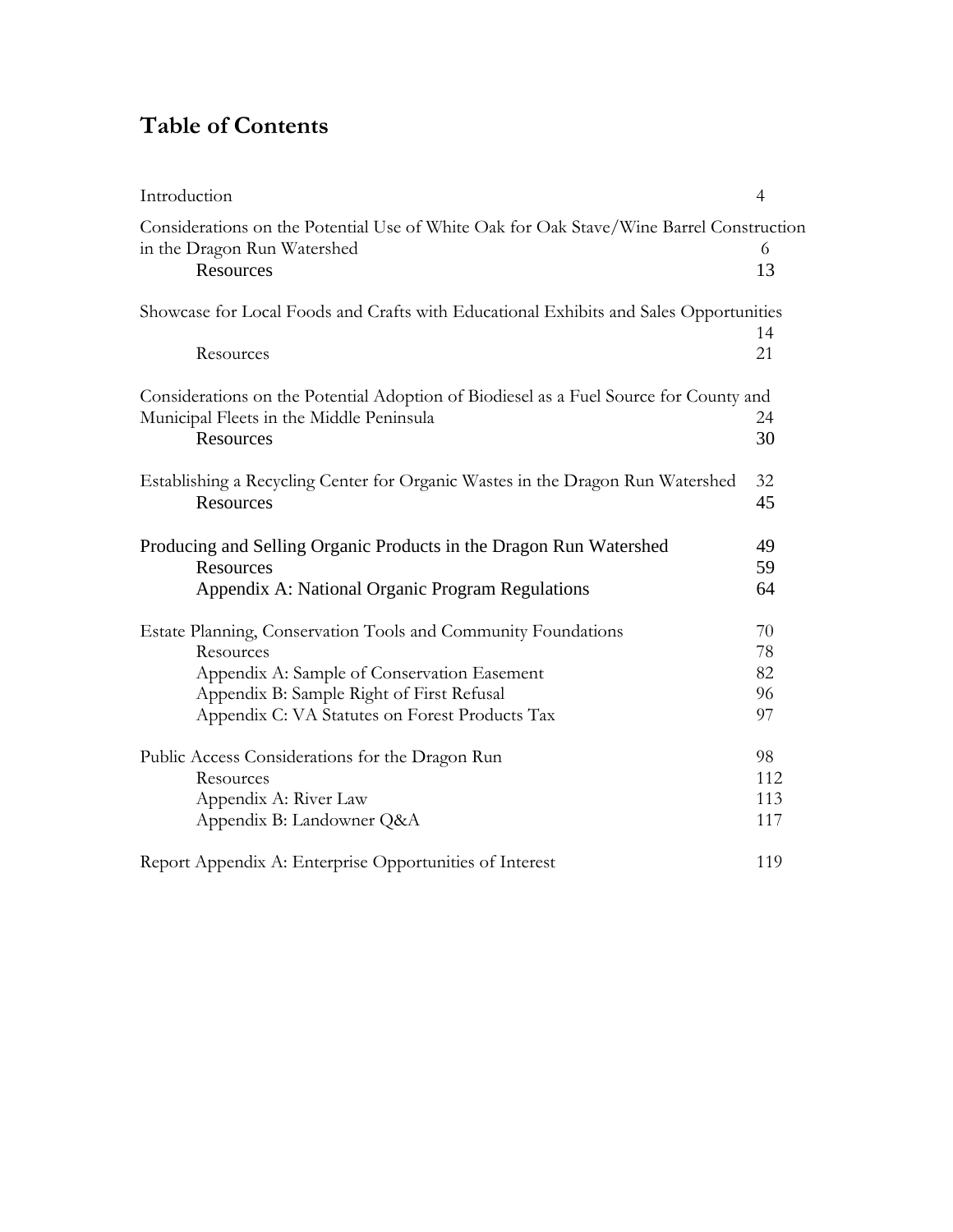## **Table of Contents**

| Introduction                                                                                                                        | $\overline{4}$ |  |  |
|-------------------------------------------------------------------------------------------------------------------------------------|----------------|--|--|
| Considerations on the Potential Use of White Oak for Oak Stave/Wine Barrel Construction<br>in the Dragon Run Watershed<br>Resources |                |  |  |
|                                                                                                                                     | 13             |  |  |
| Showcase for Local Foods and Crafts with Educational Exhibits and Sales Opportunities                                               |                |  |  |
| Resources                                                                                                                           | 14<br>21       |  |  |
| Considerations on the Potential Adoption of Biodiesel as a Fuel Source for County and                                               |                |  |  |
| Municipal Fleets in the Middle Peninsula                                                                                            |                |  |  |
| Resources                                                                                                                           | 30             |  |  |
| Establishing a Recycling Center for Organic Wastes in the Dragon Run Watershed                                                      | 32             |  |  |
| Resources                                                                                                                           | 45             |  |  |
| Producing and Selling Organic Products in the Dragon Run Watershed                                                                  |                |  |  |
| Resources                                                                                                                           | 59             |  |  |
| Appendix A: National Organic Program Regulations                                                                                    | 64             |  |  |
| Estate Planning, Conservation Tools and Community Foundations                                                                       |                |  |  |
| Resources                                                                                                                           | 78             |  |  |
| Appendix A: Sample of Conservation Easement                                                                                         | 82             |  |  |
| Appendix B: Sample Right of First Refusal                                                                                           | 96             |  |  |
| Appendix C: VA Statutes on Forest Products Tax                                                                                      | 97             |  |  |
| Public Access Considerations for the Dragon Run                                                                                     | 98             |  |  |
| Resources                                                                                                                           | 112            |  |  |
| Appendix A: River Law                                                                                                               | 113            |  |  |
| Appendix B: Landowner Q&A                                                                                                           | 117            |  |  |
| Report Appendix A: Enterprise Opportunities of Interest                                                                             | 119            |  |  |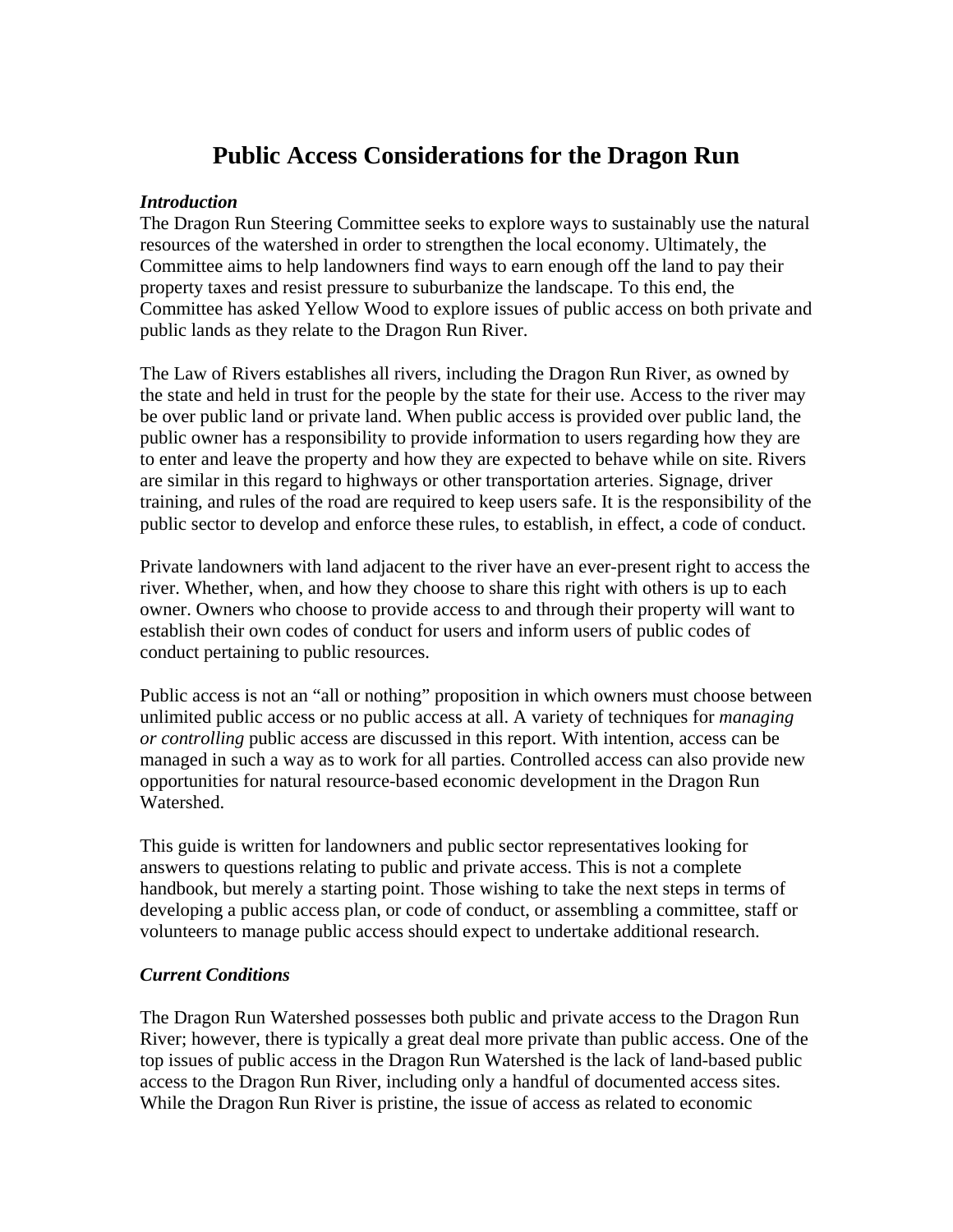## **Public Access Considerations for the Dragon Run**

## *Introduction*

The Dragon Run Steering Committee seeks to explore ways to sustainably use the natural resources of the watershed in order to strengthen the local economy. Ultimately, the Committee aims to help landowners find ways to earn enough off the land to pay their property taxes and resist pressure to suburbanize the landscape. To this end, the Committee has asked Yellow Wood to explore issues of public access on both private and public lands as they relate to the Dragon Run River.

The Law of Rivers establishes all rivers, including the Dragon Run River, as owned by the state and held in trust for the people by the state for their use. Access to the river may be over public land or private land. When public access is provided over public land, the public owner has a responsibility to provide information to users regarding how they are to enter and leave the property and how they are expected to behave while on site. Rivers are similar in this regard to highways or other transportation arteries. Signage, driver training, and rules of the road are required to keep users safe. It is the responsibility of the public sector to develop and enforce these rules, to establish, in effect, a code of conduct.

Private landowners with land adjacent to the river have an ever-present right to access the river. Whether, when, and how they choose to share this right with others is up to each owner. Owners who choose to provide access to and through their property will want to establish their own codes of conduct for users and inform users of public codes of conduct pertaining to public resources.

Public access is not an "all or nothing" proposition in which owners must choose between unlimited public access or no public access at all. A variety of techniques for *managing or controlling* public access are discussed in this report. With intention, access can be managed in such a way as to work for all parties. Controlled access can also provide new opportunities for natural resource-based economic development in the Dragon Run Watershed.

This guide is written for landowners and public sector representatives looking for answers to questions relating to public and private access. This is not a complete handbook, but merely a starting point. Those wishing to take the next steps in terms of developing a public access plan, or code of conduct, or assembling a committee, staff or volunteers to manage public access should expect to undertake additional research.

## *Current Conditions*

The Dragon Run Watershed possesses both public and private access to the Dragon Run River; however, there is typically a great deal more private than public access. One of the top issues of public access in the Dragon Run Watershed is the lack of land-based public access to the Dragon Run River, including only a handful of documented access sites. While the Dragon Run River is pristine, the issue of access as related to economic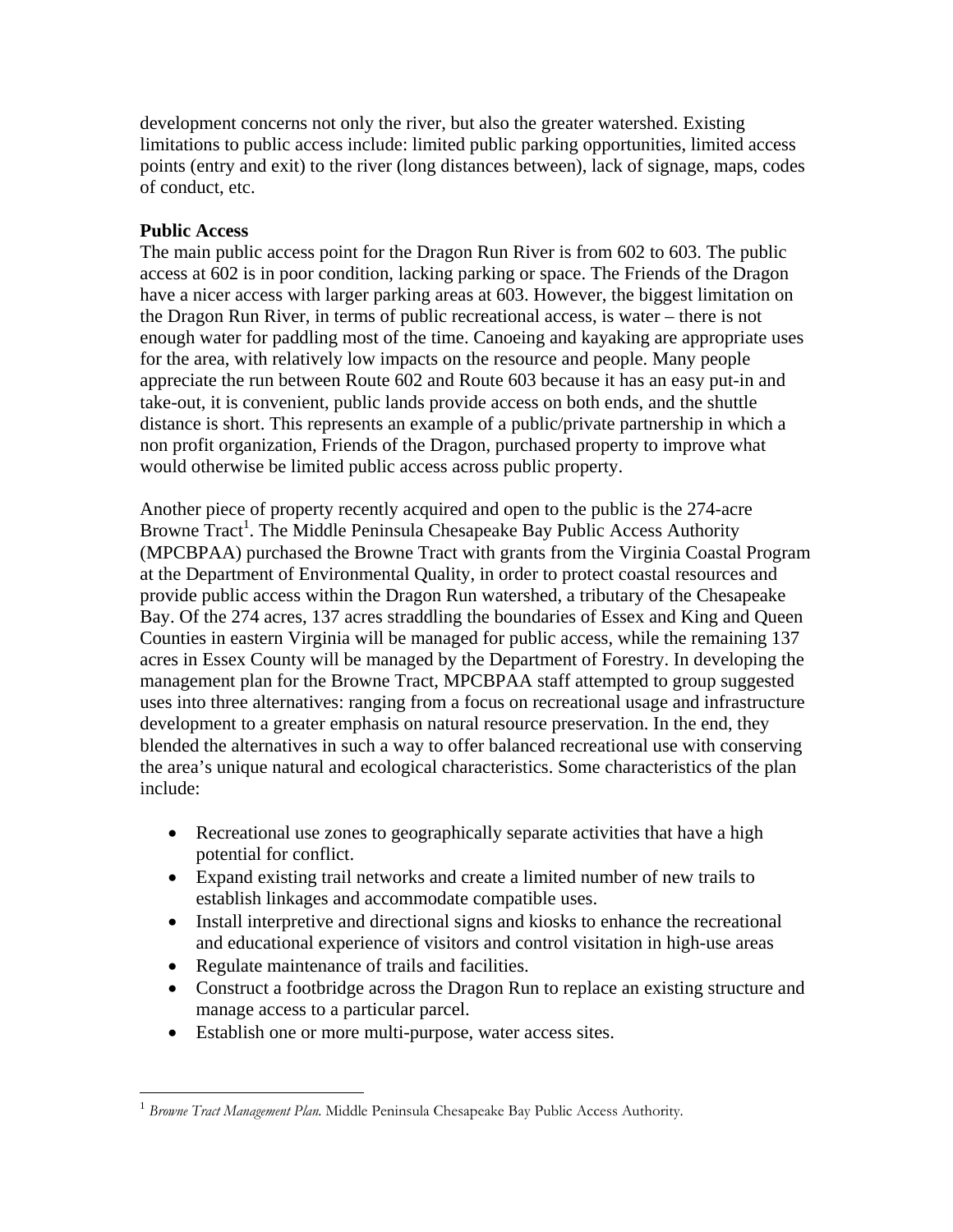development concerns not only the river, but also the greater watershed. Existing limitations to public access include: limited public parking opportunities, limited access points (entry and exit) to the river (long distances between), lack of signage, maps, codes of conduct, etc.

## **Public Access**

 $\overline{a}$ 

The main public access point for the Dragon Run River is from 602 to 603. The public access at 602 is in poor condition, lacking parking or space. The Friends of the Dragon have a nicer access with larger parking areas at 603. However, the biggest limitation on the Dragon Run River, in terms of public recreational access, is water – there is not enough water for paddling most of the time. Canoeing and kayaking are appropriate uses for the area, with relatively low impacts on the resource and people. Many people appreciate the run between Route 602 and Route 603 because it has an easy put-in and take-out, it is convenient, public lands provide access on both ends, and the shuttle distance is short. This represents an example of a public/private partnership in which a non profit organization, Friends of the Dragon, purchased property to improve what would otherwise be limited public access across public property.

Another piece of property recently acquired and open to the public is the 274-acre Browne Tract<sup>1</sup>. The Middle Peninsula Chesapeake Bay Public Access Authority (MPCBPAA) purchased the Browne Tract with grants from the Virginia Coastal Program at the Department of Environmental Quality, in order to protect coastal resources and provide public access within the Dragon Run watershed, a tributary of the Chesapeake Bay. Of the 274 acres, 137 acres straddling the boundaries of Essex and King and Queen Counties in eastern Virginia will be managed for public access, while the remaining 137 acres in Essex County will be managed by the Department of Forestry. In developing the management plan for the Browne Tract, MPCBPAA staff attempted to group suggested uses into three alternatives: ranging from a focus on recreational usage and infrastructure development to a greater emphasis on natural resource preservation. In the end, they blended the alternatives in such a way to offer balanced recreational use with conserving the area's unique natural and ecological characteristics. Some characteristics of the plan include:

- Recreational use zones to geographically separate activities that have a high potential for conflict.
- Expand existing trail networks and create a limited number of new trails to establish linkages and accommodate compatible uses.
- Install interpretive and directional signs and kiosks to enhance the recreational and educational experience of visitors and control visitation in high-use areas
- Regulate maintenance of trails and facilities.
- Construct a footbridge across the Dragon Run to replace an existing structure and manage access to a particular parcel.
- Establish one or more multi-purpose, water access sites.

<sup>1</sup> *Browne Tract Management Plan.* Middle Peninsula Chesapeake Bay Public Access Authority.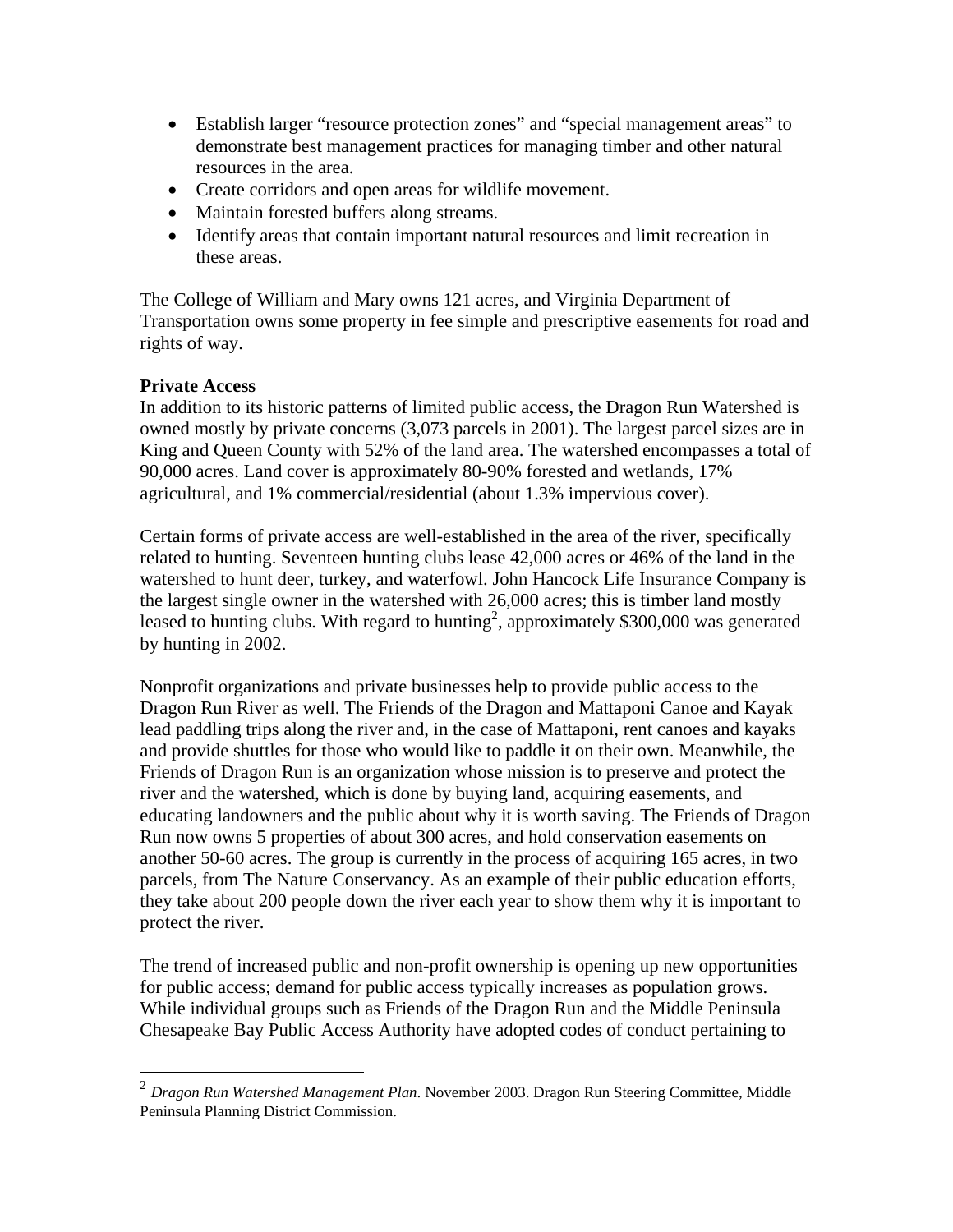- Establish larger "resource protection zones" and "special management areas" to demonstrate best management practices for managing timber and other natural resources in the area.
- Create corridors and open areas for wildlife movement.
- Maintain forested buffers along streams.
- Identify areas that contain important natural resources and limit recreation in these areas.

The College of William and Mary owns 121 acres, and Virginia Department of Transportation owns some property in fee simple and prescriptive easements for road and rights of way.

## **Private Access**

 $\overline{a}$ 

In addition to its historic patterns of limited public access, the Dragon Run Watershed is owned mostly by private concerns (3,073 parcels in 2001). The largest parcel sizes are in King and Queen County with 52% of the land area. The watershed encompasses a total of 90,000 acres. Land cover is approximately 80-90% forested and wetlands, 17% agricultural, and 1% commercial/residential (about 1.3% impervious cover).

Certain forms of private access are well-established in the area of the river, specifically related to hunting. Seventeen hunting clubs lease 42,000 acres or 46% of the land in the watershed to hunt deer, turkey, and waterfowl. John Hancock Life Insurance Company is the largest single owner in the watershed with 26,000 acres; this is timber land mostly leased to hunting clubs. With regard to hunting<sup>2</sup>, approximately \$300,000 was generated by hunting in 2002.

Nonprofit organizations and private businesses help to provide public access to the Dragon Run River as well. The Friends of the Dragon and Mattaponi Canoe and Kayak lead paddling trips along the river and, in the case of Mattaponi, rent canoes and kayaks and provide shuttles for those who would like to paddle it on their own. Meanwhile, the Friends of Dragon Run is an organization whose mission is to preserve and protect the river and the watershed, which is done by buying land, acquiring easements, and educating landowners and the public about why it is worth saving. The Friends of Dragon Run now owns 5 properties of about 300 acres, and hold conservation easements on another 50-60 acres. The group is currently in the process of acquiring 165 acres, in two parcels, from The Nature Conservancy. As an example of their public education efforts, they take about 200 people down the river each year to show them why it is important to protect the river.

The trend of increased public and non-profit ownership is opening up new opportunities for public access; demand for public access typically increases as population grows. While individual groups such as Friends of the Dragon Run and the Middle Peninsula Chesapeake Bay Public Access Authority have adopted codes of conduct pertaining to

<sup>2</sup> *Dragon Run Watershed Management Plan*. November 2003. Dragon Run Steering Committee, Middle Peninsula Planning District Commission.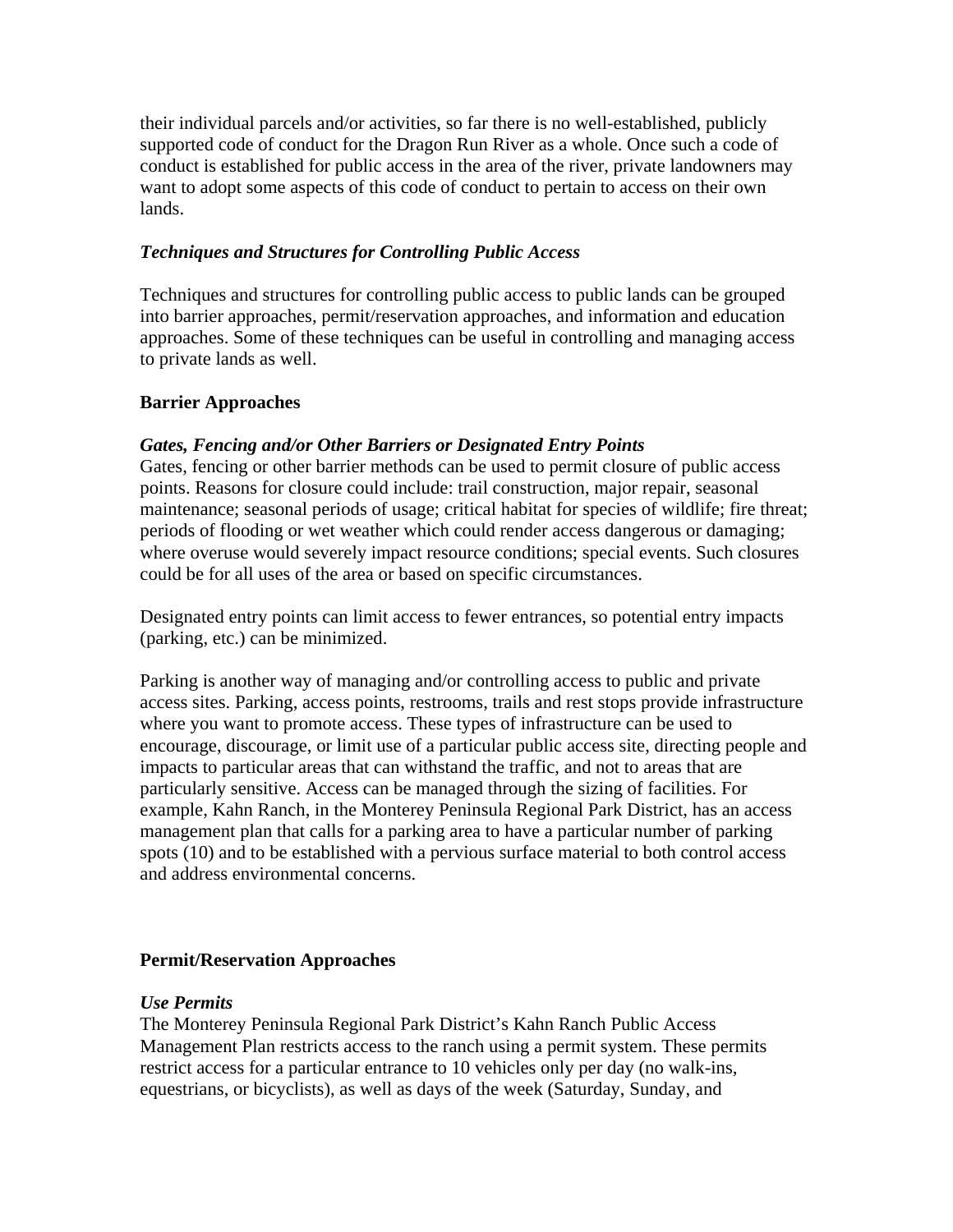their individual parcels and/or activities, so far there is no well-established, publicly supported code of conduct for the Dragon Run River as a whole. Once such a code of conduct is established for public access in the area of the river, private landowners may want to adopt some aspects of this code of conduct to pertain to access on their own lands.

## *Techniques and Structures for Controlling Public Access*

Techniques and structures for controlling public access to public lands can be grouped into barrier approaches, permit/reservation approaches, and information and education approaches. Some of these techniques can be useful in controlling and managing access to private lands as well.

## **Barrier Approaches**

## *Gates, Fencing and/or Other Barriers or Designated Entry Points*

Gates, fencing or other barrier methods can be used to permit closure of public access points. Reasons for closure could include: trail construction, major repair, seasonal maintenance; seasonal periods of usage; critical habitat for species of wildlife; fire threat; periods of flooding or wet weather which could render access dangerous or damaging; where overuse would severely impact resource conditions; special events. Such closures could be for all uses of the area or based on specific circumstances.

Designated entry points can limit access to fewer entrances, so potential entry impacts (parking, etc.) can be minimized.

Parking is another way of managing and/or controlling access to public and private access sites. Parking, access points, restrooms, trails and rest stops provide infrastructure where you want to promote access. These types of infrastructure can be used to encourage, discourage, or limit use of a particular public access site, directing people and impacts to particular areas that can withstand the traffic, and not to areas that are particularly sensitive. Access can be managed through the sizing of facilities. For example, Kahn Ranch, in the Monterey Peninsula Regional Park District, has an access management plan that calls for a parking area to have a particular number of parking spots (10) and to be established with a pervious surface material to both control access and address environmental concerns.

#### **Permit/Reservation Approaches**

#### *Use Permits*

The Monterey Peninsula Regional Park District's Kahn Ranch Public Access Management Plan restricts access to the ranch using a permit system. These permits restrict access for a particular entrance to 10 vehicles only per day (no walk-ins, equestrians, or bicyclists), as well as days of the week (Saturday, Sunday, and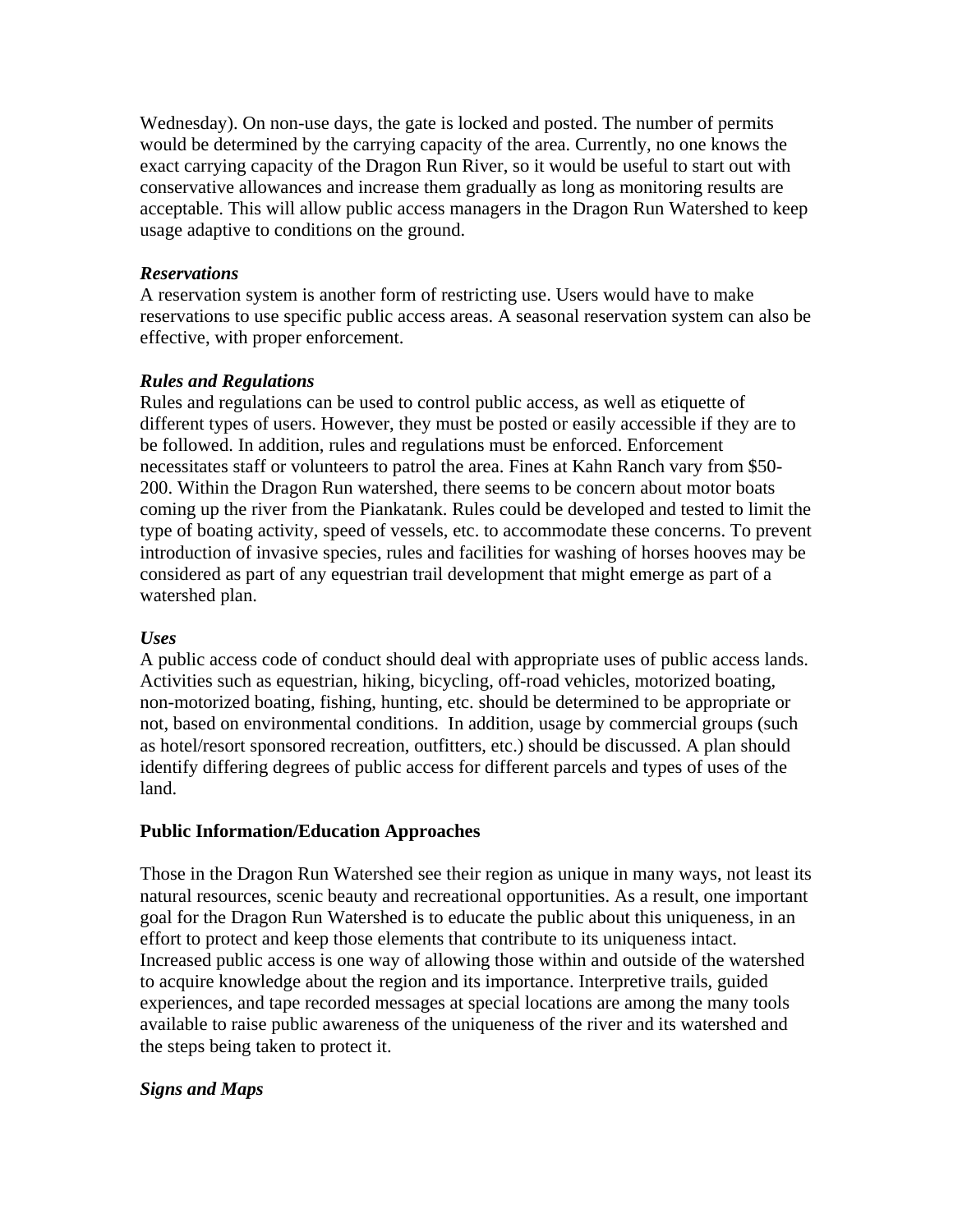Wednesday). On non-use days, the gate is locked and posted. The number of permits would be determined by the carrying capacity of the area. Currently, no one knows the exact carrying capacity of the Dragon Run River, so it would be useful to start out with conservative allowances and increase them gradually as long as monitoring results are acceptable. This will allow public access managers in the Dragon Run Watershed to keep usage adaptive to conditions on the ground.

#### *Reservations*

A reservation system is another form of restricting use. Users would have to make reservations to use specific public access areas. A seasonal reservation system can also be effective, with proper enforcement.

## *Rules and Regulations*

Rules and regulations can be used to control public access, as well as etiquette of different types of users. However, they must be posted or easily accessible if they are to be followed. In addition, rules and regulations must be enforced. Enforcement necessitates staff or volunteers to patrol the area. Fines at Kahn Ranch vary from \$50- 200. Within the Dragon Run watershed, there seems to be concern about motor boats coming up the river from the Piankatank. Rules could be developed and tested to limit the type of boating activity, speed of vessels, etc. to accommodate these concerns. To prevent introduction of invasive species, rules and facilities for washing of horses hooves may be considered as part of any equestrian trail development that might emerge as part of a watershed plan.

## *Uses*

A public access code of conduct should deal with appropriate uses of public access lands. Activities such as equestrian, hiking, bicycling, off-road vehicles, motorized boating, non-motorized boating, fishing, hunting, etc. should be determined to be appropriate or not, based on environmental conditions. In addition, usage by commercial groups (such as hotel/resort sponsored recreation, outfitters, etc.) should be discussed. A plan should identify differing degrees of public access for different parcels and types of uses of the land.

## **Public Information/Education Approaches**

Those in the Dragon Run Watershed see their region as unique in many ways, not least its natural resources, scenic beauty and recreational opportunities. As a result, one important goal for the Dragon Run Watershed is to educate the public about this uniqueness, in an effort to protect and keep those elements that contribute to its uniqueness intact. Increased public access is one way of allowing those within and outside of the watershed to acquire knowledge about the region and its importance. Interpretive trails, guided experiences, and tape recorded messages at special locations are among the many tools available to raise public awareness of the uniqueness of the river and its watershed and the steps being taken to protect it.

## *Signs and Maps*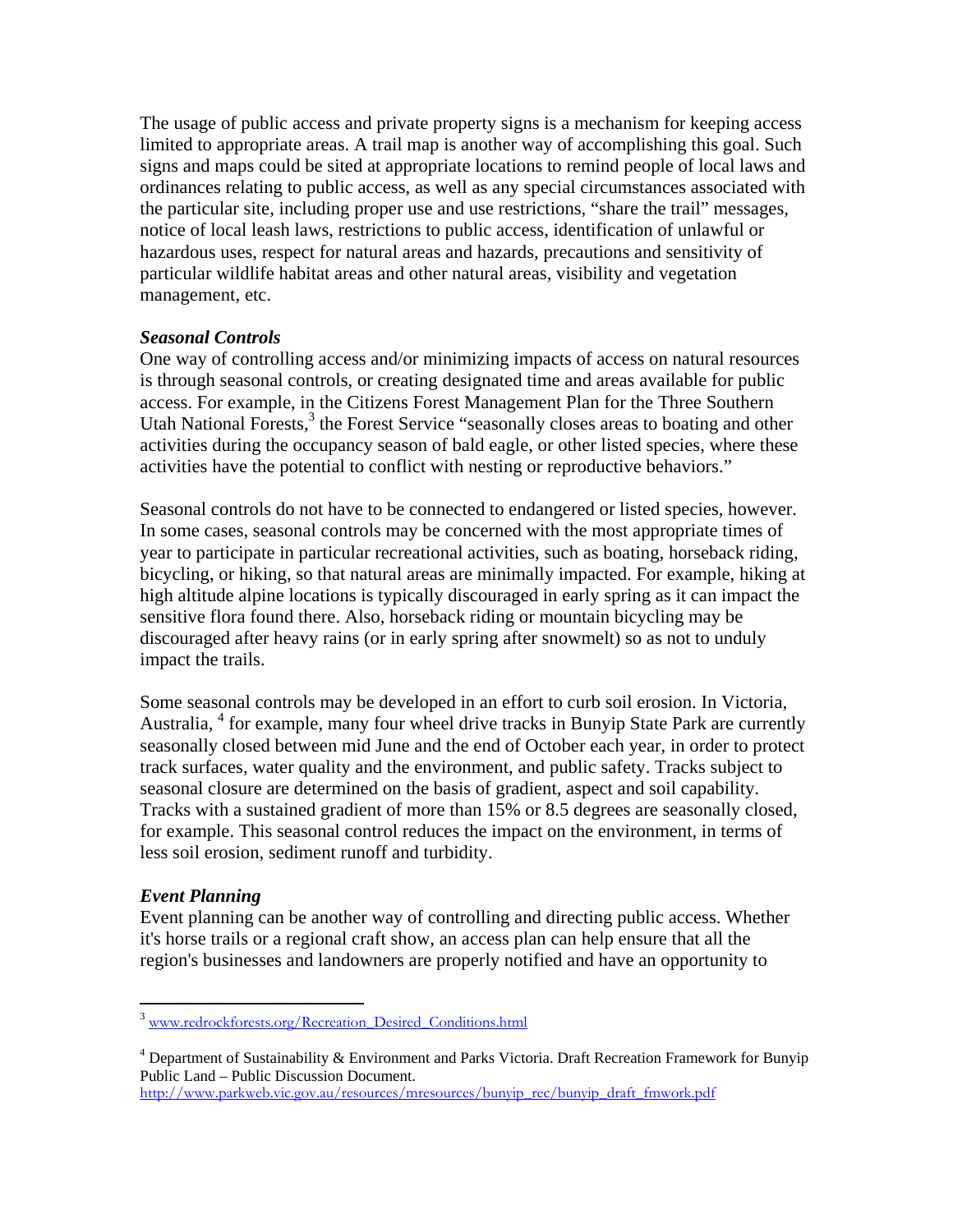The usage of public access and private property signs is a mechanism for keeping access limited to appropriate areas. A trail map is another way of accomplishing this goal. Such signs and maps could be sited at appropriate locations to remind people of local laws and ordinances relating to public access, as well as any special circumstances associated with the particular site, including proper use and use restrictions, "share the trail" messages, notice of local leash laws, restrictions to public access, identification of unlawful or hazardous uses, respect for natural areas and hazards, precautions and sensitivity of particular wildlife habitat areas and other natural areas, visibility and vegetation management, etc.

## *Seasonal Controls*

One way of controlling access and/or minimizing impacts of access on natural resources is through seasonal controls, or creating designated time and areas available for public access. For example, in the Citizens Forest Management Plan for the Three Southern Utah National Forests,<sup>3</sup> the Forest Service "seasonally closes areas to boating and other activities during the occupancy season of bald eagle, or other listed species, where these activities have the potential to conflict with nesting or reproductive behaviors."

Seasonal controls do not have to be connected to endangered or listed species, however. In some cases, seasonal controls may be concerned with the most appropriate times of year to participate in particular recreational activities, such as boating, horseback riding, bicycling, or hiking, so that natural areas are minimally impacted. For example, hiking at high altitude alpine locations is typically discouraged in early spring as it can impact the sensitive flora found there. Also, horseback riding or mountain bicycling may be discouraged after heavy rains (or in early spring after snowmelt) so as not to unduly impact the trails.

Some seasonal controls may be developed in an effort to curb soil erosion. In Victoria, Australia, <sup>4</sup> for example, many four wheel drive tracks in Bunyip State Park are currently seasonally closed between mid June and the end of October each year, in order to protect track surfaces, water quality and the environment, and public safety. Tracks subject to seasonal closure are determined on the basis of gradient, aspect and soil capability. Tracks with a sustained gradient of more than 15% or 8.5 degrees are seasonally closed, for example. This seasonal control reduces the impact on the environment, in terms of less soil erosion, sediment runoff and turbidity.

## *Event Planning*

<u>.</u>

Event planning can be another way of controlling and directing public access. Whether it's horse trails or a regional craft show, an access plan can help ensure that all the region's businesses and landowners are properly notified and have an opportunity to

http://www.parkweb.vic.gov.au/resources/mresources/bunyip\_rec/bunyip\_draft\_fmwork.pdf

<sup>&</sup>lt;sup>3</sup> www.redrockforests.org/Recreation\_Desired\_Conditions.html

 $4$  Department of Sustainability & Environment and Parks Victoria. Draft Recreation Framework for Bunyip Public Land – Public Discussion Document.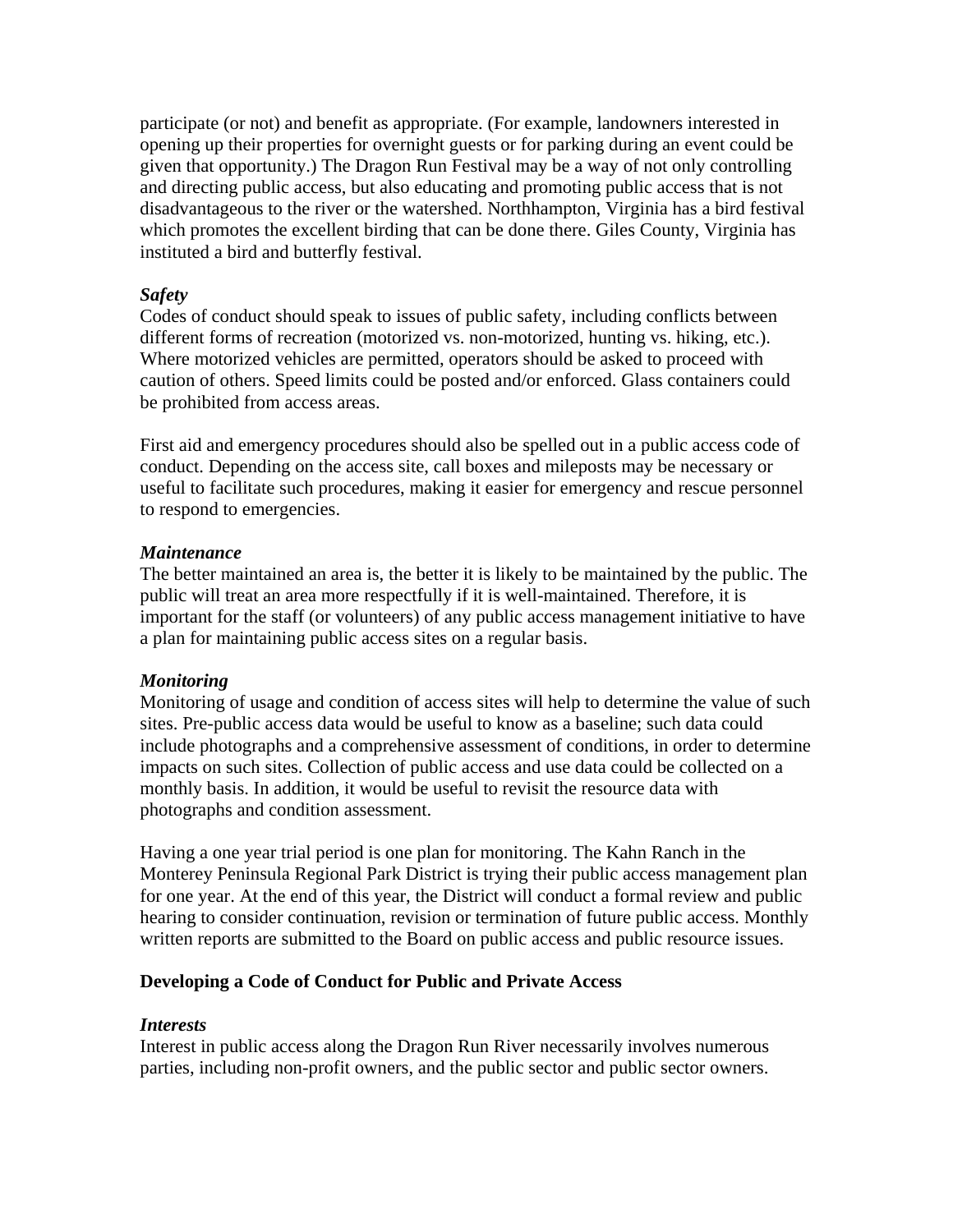participate (or not) and benefit as appropriate. (For example, landowners interested in opening up their properties for overnight guests or for parking during an event could be given that opportunity.) The Dragon Run Festival may be a way of not only controlling and directing public access, but also educating and promoting public access that is not disadvantageous to the river or the watershed. Northhampton, Virginia has a bird festival which promotes the excellent birding that can be done there. Giles County, Virginia has instituted a bird and butterfly festival.

#### *Safety*

Codes of conduct should speak to issues of public safety, including conflicts between different forms of recreation (motorized vs. non-motorized, hunting vs. hiking, etc.). Where motorized vehicles are permitted, operators should be asked to proceed with caution of others. Speed limits could be posted and/or enforced. Glass containers could be prohibited from access areas.

First aid and emergency procedures should also be spelled out in a public access code of conduct. Depending on the access site, call boxes and mileposts may be necessary or useful to facilitate such procedures, making it easier for emergency and rescue personnel to respond to emergencies.

#### *Maintenance*

The better maintained an area is, the better it is likely to be maintained by the public. The public will treat an area more respectfully if it is well-maintained. Therefore, it is important for the staff (or volunteers) of any public access management initiative to have a plan for maintaining public access sites on a regular basis.

#### *Monitoring*

Monitoring of usage and condition of access sites will help to determine the value of such sites. Pre-public access data would be useful to know as a baseline; such data could include photographs and a comprehensive assessment of conditions, in order to determine impacts on such sites. Collection of public access and use data could be collected on a monthly basis. In addition, it would be useful to revisit the resource data with photographs and condition assessment.

Having a one year trial period is one plan for monitoring. The Kahn Ranch in the Monterey Peninsula Regional Park District is trying their public access management plan for one year. At the end of this year, the District will conduct a formal review and public hearing to consider continuation, revision or termination of future public access. Monthly written reports are submitted to the Board on public access and public resource issues.

#### **Developing a Code of Conduct for Public and Private Access**

#### *Interests*

Interest in public access along the Dragon Run River necessarily involves numerous parties, including non-profit owners, and the public sector and public sector owners.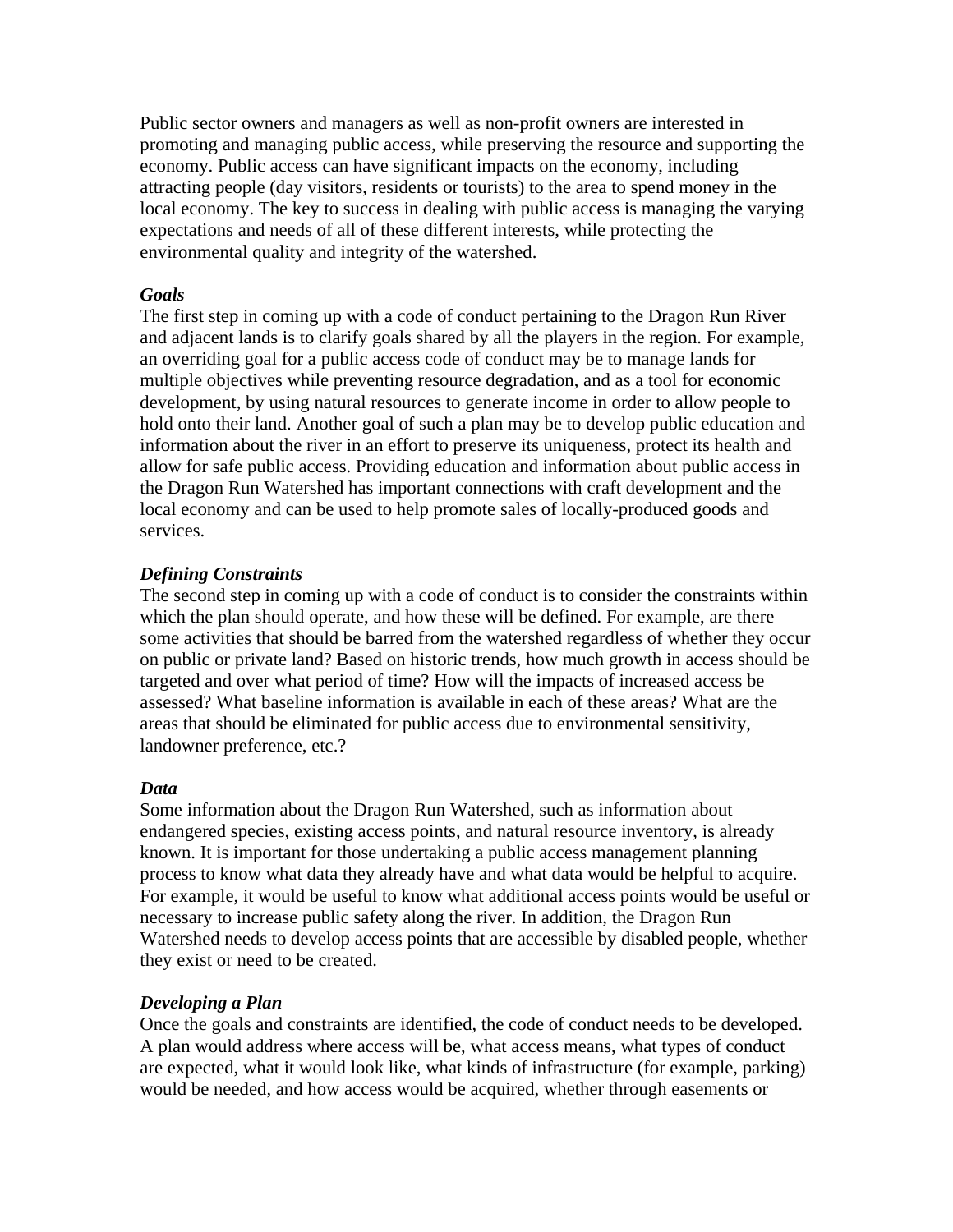Public sector owners and managers as well as non-profit owners are interested in promoting and managing public access, while preserving the resource and supporting the economy. Public access can have significant impacts on the economy, including attracting people (day visitors, residents or tourists) to the area to spend money in the local economy. The key to success in dealing with public access is managing the varying expectations and needs of all of these different interests, while protecting the environmental quality and integrity of the watershed.

#### *Goals*

The first step in coming up with a code of conduct pertaining to the Dragon Run River and adjacent lands is to clarify goals shared by all the players in the region. For example, an overriding goal for a public access code of conduct may be to manage lands for multiple objectives while preventing resource degradation, and as a tool for economic development, by using natural resources to generate income in order to allow people to hold onto their land. Another goal of such a plan may be to develop public education and information about the river in an effort to preserve its uniqueness, protect its health and allow for safe public access. Providing education and information about public access in the Dragon Run Watershed has important connections with craft development and the local economy and can be used to help promote sales of locally-produced goods and services.

## *Defining Constraints*

The second step in coming up with a code of conduct is to consider the constraints within which the plan should operate, and how these will be defined. For example, are there some activities that should be barred from the watershed regardless of whether they occur on public or private land? Based on historic trends, how much growth in access should be targeted and over what period of time? How will the impacts of increased access be assessed? What baseline information is available in each of these areas? What are the areas that should be eliminated for public access due to environmental sensitivity, landowner preference, etc.?

## *Data*

Some information about the Dragon Run Watershed, such as information about endangered species, existing access points, and natural resource inventory, is already known. It is important for those undertaking a public access management planning process to know what data they already have and what data would be helpful to acquire. For example, it would be useful to know what additional access points would be useful or necessary to increase public safety along the river. In addition, the Dragon Run Watershed needs to develop access points that are accessible by disabled people, whether they exist or need to be created.

## *Developing a Plan*

Once the goals and constraints are identified, the code of conduct needs to be developed. A plan would address where access will be, what access means, what types of conduct are expected, what it would look like, what kinds of infrastructure (for example, parking) would be needed, and how access would be acquired, whether through easements or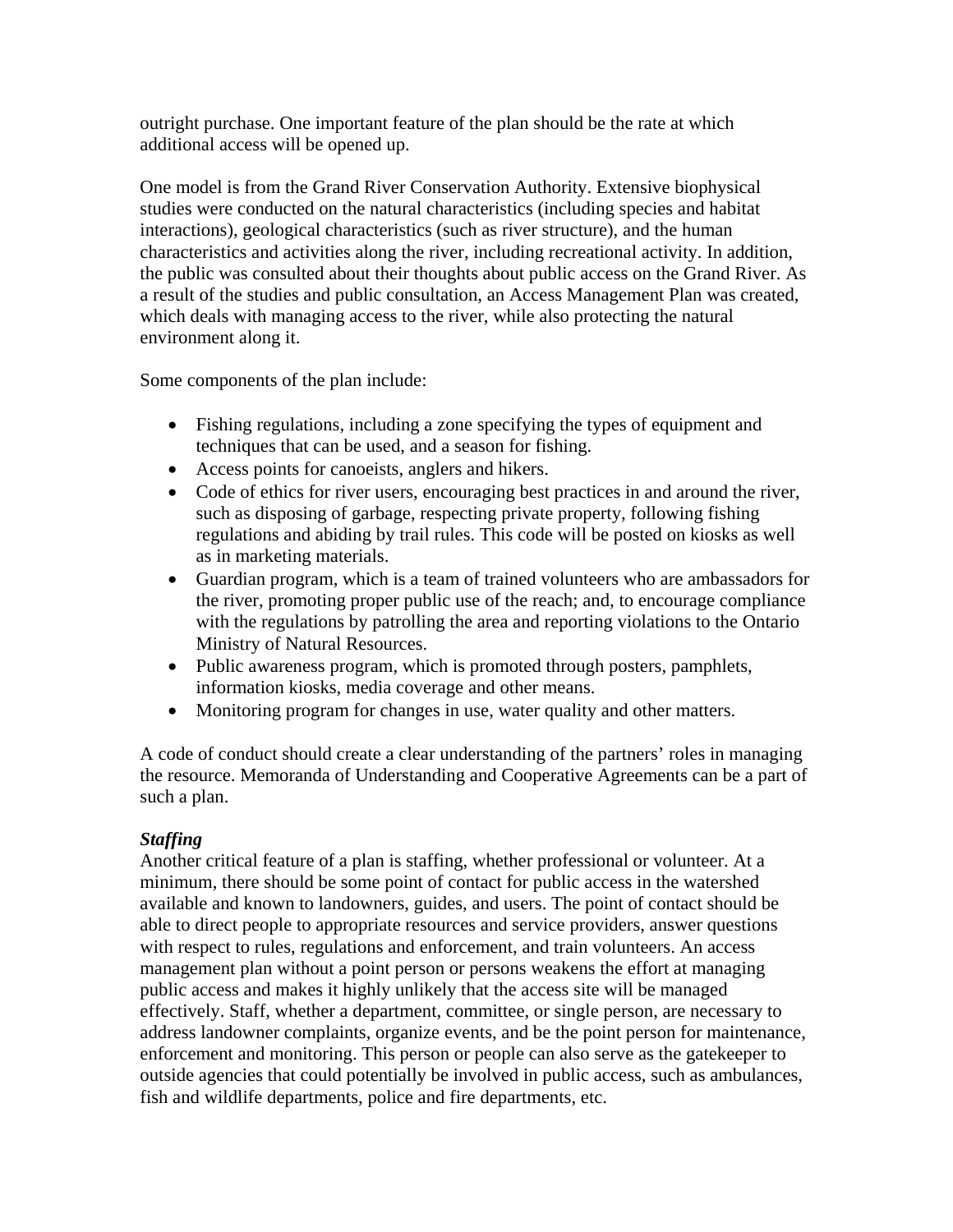outright purchase. One important feature of the plan should be the rate at which additional access will be opened up.

One model is from the Grand River Conservation Authority. Extensive biophysical studies were conducted on the natural characteristics (including species and habitat interactions), geological characteristics (such as river structure), and the human characteristics and activities along the river, including recreational activity. In addition, the public was consulted about their thoughts about public access on the Grand River. As a result of the studies and public consultation, an Access Management Plan was created, which deals with managing access to the river, while also protecting the natural environment along it.

Some components of the plan include:

- Fishing regulations, including a zone specifying the types of equipment and techniques that can be used, and a season for fishing.
- Access points for canoeists, anglers and hikers.
- Code of ethics for river users, encouraging best practices in and around the river, such as disposing of garbage, respecting private property, following fishing regulations and abiding by trail rules. This code will be posted on kiosks as well as in marketing materials.
- Guardian program, which is a team of trained volunteers who are ambassadors for the river, promoting proper public use of the reach; and, to encourage compliance with the regulations by patrolling the area and reporting violations to the Ontario Ministry of Natural Resources.
- Public awareness program, which is promoted through posters, pamphlets, information kiosks, media coverage and other means.
- Monitoring program for changes in use, water quality and other matters.

A code of conduct should create a clear understanding of the partners' roles in managing the resource. Memoranda of Understanding and Cooperative Agreements can be a part of such a plan.

## *Staffing*

Another critical feature of a plan is staffing, whether professional or volunteer. At a minimum, there should be some point of contact for public access in the watershed available and known to landowners, guides, and users. The point of contact should be able to direct people to appropriate resources and service providers, answer questions with respect to rules, regulations and enforcement, and train volunteers. An access management plan without a point person or persons weakens the effort at managing public access and makes it highly unlikely that the access site will be managed effectively. Staff, whether a department, committee, or single person, are necessary to address landowner complaints, organize events, and be the point person for maintenance, enforcement and monitoring. This person or people can also serve as the gatekeeper to outside agencies that could potentially be involved in public access, such as ambulances, fish and wildlife departments, police and fire departments, etc.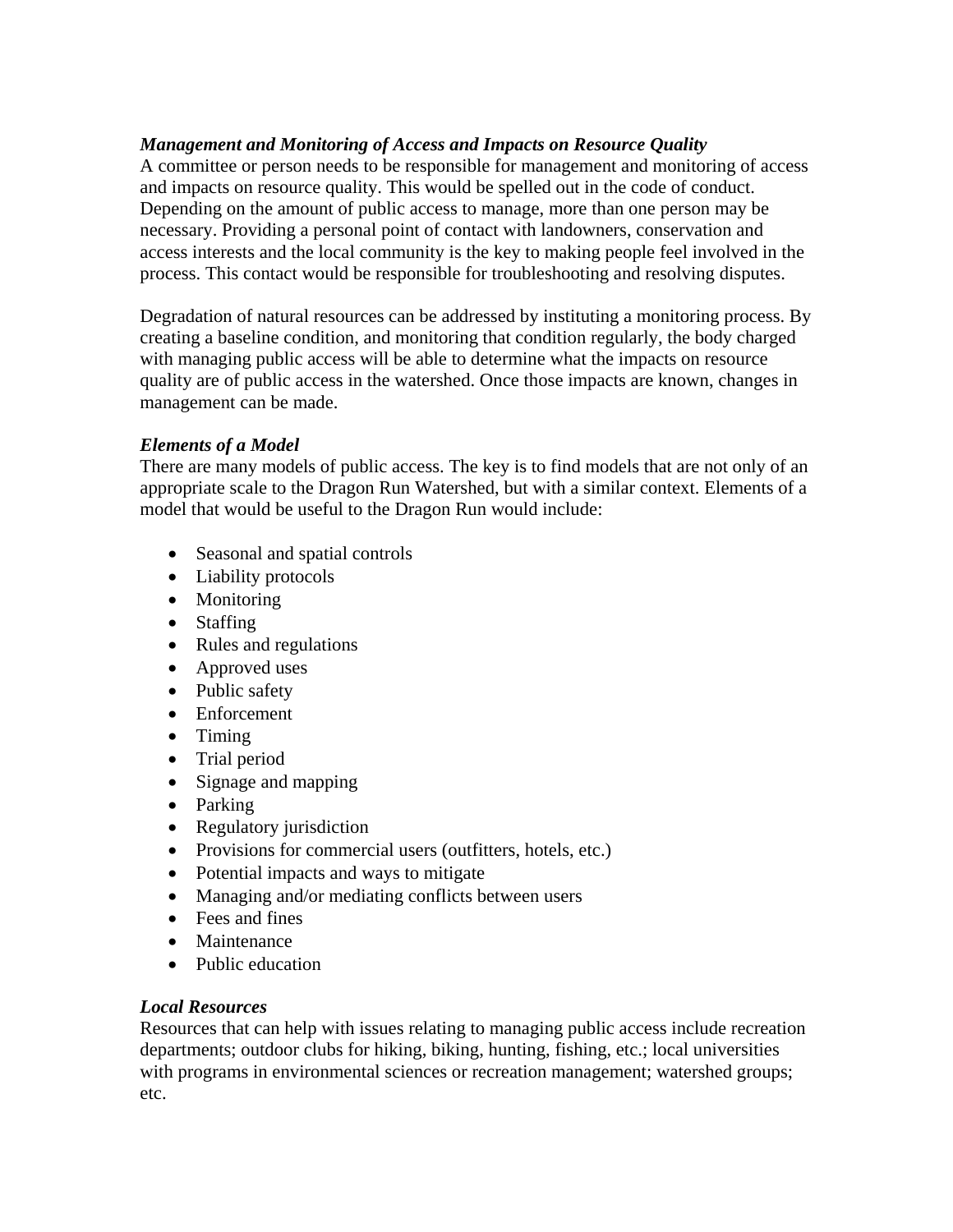## *Management and Monitoring of Access and Impacts on Resource Quality*

A committee or person needs to be responsible for management and monitoring of access and impacts on resource quality. This would be spelled out in the code of conduct. Depending on the amount of public access to manage, more than one person may be necessary. Providing a personal point of contact with landowners, conservation and access interests and the local community is the key to making people feel involved in the process. This contact would be responsible for troubleshooting and resolving disputes.

Degradation of natural resources can be addressed by instituting a monitoring process. By creating a baseline condition, and monitoring that condition regularly, the body charged with managing public access will be able to determine what the impacts on resource quality are of public access in the watershed. Once those impacts are known, changes in management can be made.

## *Elements of a Model*

There are many models of public access. The key is to find models that are not only of an appropriate scale to the Dragon Run Watershed, but with a similar context. Elements of a model that would be useful to the Dragon Run would include:

- Seasonal and spatial controls
- Liability protocols
- Monitoring
- Staffing
- Rules and regulations
- Approved uses
- Public safety
- Enforcement
- Timing
- Trial period
- Signage and mapping
- Parking
- Regulatory jurisdiction
- Provisions for commercial users (outfitters, hotels, etc.)
- Potential impacts and ways to mitigate
- Managing and/or mediating conflicts between users
- Fees and fines
- Maintenance
- Public education

## *Local Resources*

Resources that can help with issues relating to managing public access include recreation departments; outdoor clubs for hiking, biking, hunting, fishing, etc.; local universities with programs in environmental sciences or recreation management; watershed groups; etc.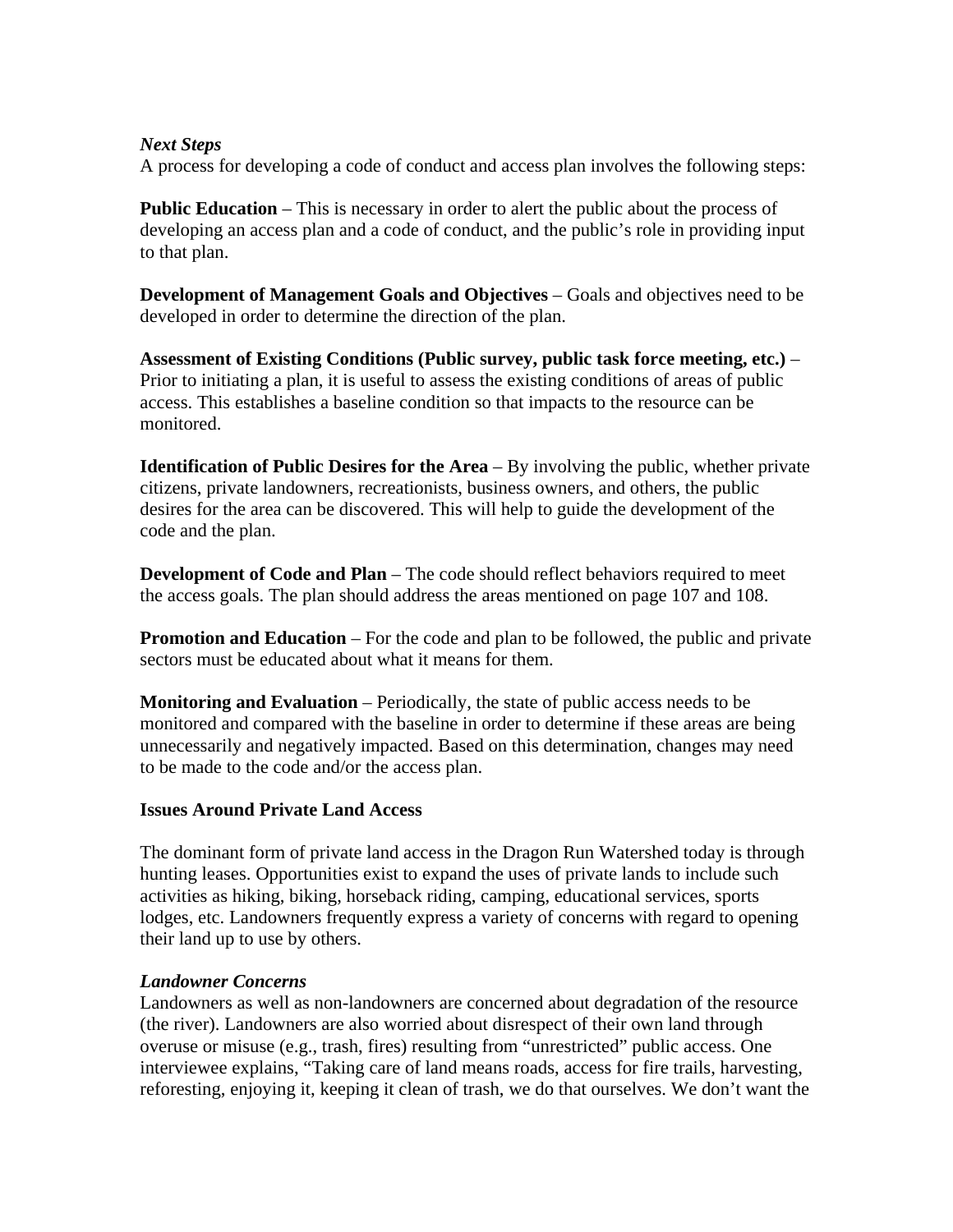## *Next Steps*

A process for developing a code of conduct and access plan involves the following steps:

**Public Education** – This is necessary in order to alert the public about the process of developing an access plan and a code of conduct, and the public's role in providing input to that plan.

**Development of Management Goals and Objectives** – Goals and objectives need to be developed in order to determine the direction of the plan.

**Assessment of Existing Conditions (Public survey, public task force meeting, etc.)** – Prior to initiating a plan, it is useful to assess the existing conditions of areas of public access. This establishes a baseline condition so that impacts to the resource can be monitored.

**Identification of Public Desires for the Area** – By involving the public, whether private citizens, private landowners, recreationists, business owners, and others, the public desires for the area can be discovered. This will help to guide the development of the code and the plan.

**Development of Code and Plan** – The code should reflect behaviors required to meet the access goals. The plan should address the areas mentioned on page 107 and 108.

**Promotion and Education** – For the code and plan to be followed, the public and private sectors must be educated about what it means for them.

**Monitoring and Evaluation** – Periodically, the state of public access needs to be monitored and compared with the baseline in order to determine if these areas are being unnecessarily and negatively impacted. Based on this determination, changes may need to be made to the code and/or the access plan.

## **Issues Around Private Land Access**

The dominant form of private land access in the Dragon Run Watershed today is through hunting leases. Opportunities exist to expand the uses of private lands to include such activities as hiking, biking, horseback riding, camping, educational services, sports lodges, etc. Landowners frequently express a variety of concerns with regard to opening their land up to use by others.

## *Landowner Concerns*

Landowners as well as non-landowners are concerned about degradation of the resource (the river). Landowners are also worried about disrespect of their own land through overuse or misuse (e.g., trash, fires) resulting from "unrestricted" public access. One interviewee explains, "Taking care of land means roads, access for fire trails, harvesting, reforesting, enjoying it, keeping it clean of trash, we do that ourselves. We don't want the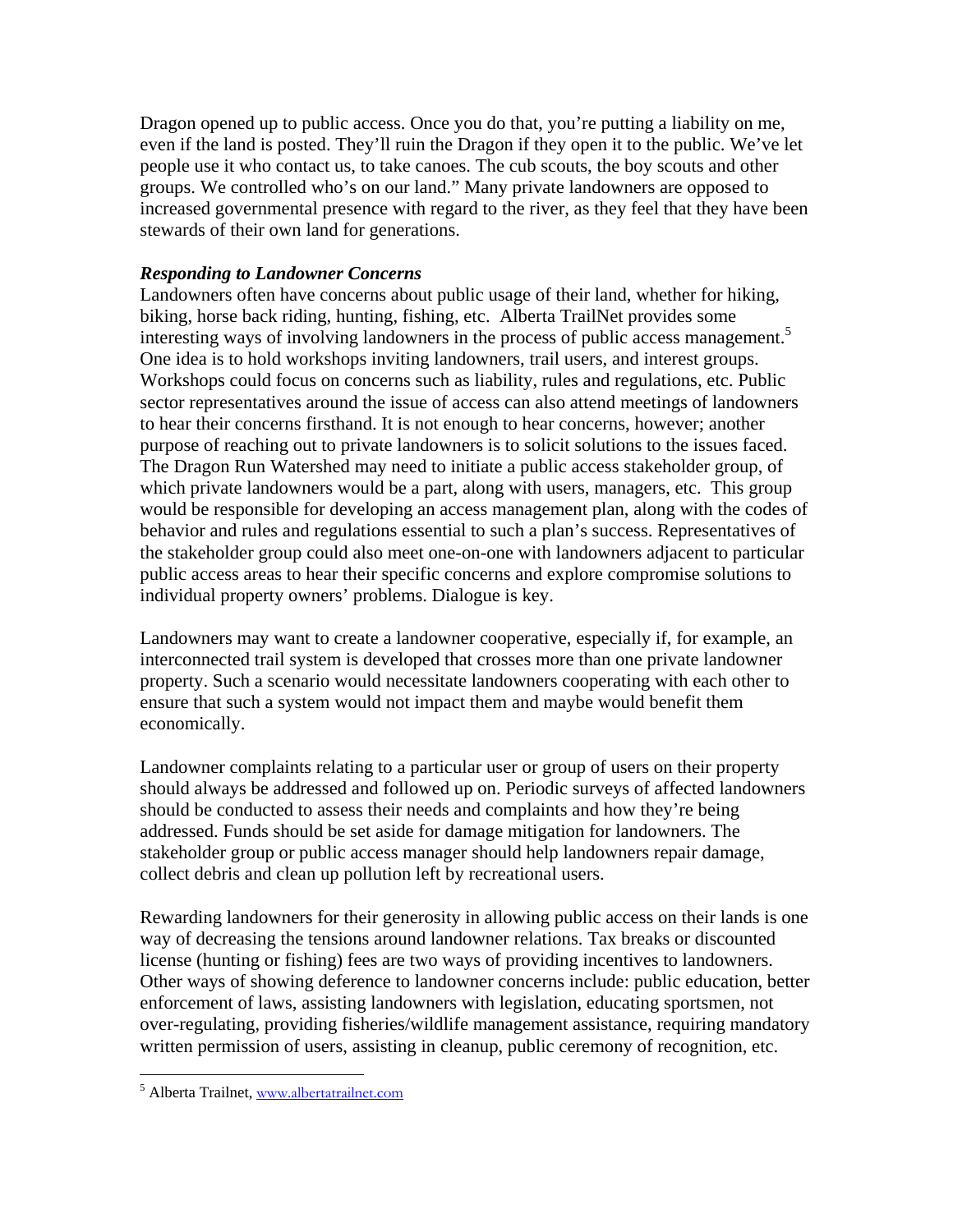Dragon opened up to public access. Once you do that, you're putting a liability on me, even if the land is posted. They'll ruin the Dragon if they open it to the public. We've let people use it who contact us, to take canoes. The cub scouts, the boy scouts and other groups. We controlled who's on our land." Many private landowners are opposed to increased governmental presence with regard to the river, as they feel that they have been stewards of their own land for generations.

## *Responding to Landowner Concerns*

Landowners often have concerns about public usage of their land, whether for hiking, biking, horse back riding, hunting, fishing, etc. Alberta TrailNet provides some interesting ways of involving landowners in the process of public access management.<sup>5</sup> One idea is to hold workshops inviting landowners, trail users, and interest groups. Workshops could focus on concerns such as liability, rules and regulations, etc. Public sector representatives around the issue of access can also attend meetings of landowners to hear their concerns firsthand. It is not enough to hear concerns, however; another purpose of reaching out to private landowners is to solicit solutions to the issues faced. The Dragon Run Watershed may need to initiate a public access stakeholder group, of which private landowners would be a part, along with users, managers, etc. This group would be responsible for developing an access management plan, along with the codes of behavior and rules and regulations essential to such a plan's success. Representatives of the stakeholder group could also meet one-on-one with landowners adjacent to particular public access areas to hear their specific concerns and explore compromise solutions to individual property owners' problems. Dialogue is key.

Landowners may want to create a landowner cooperative, especially if, for example, an interconnected trail system is developed that crosses more than one private landowner property. Such a scenario would necessitate landowners cooperating with each other to ensure that such a system would not impact them and maybe would benefit them economically.

Landowner complaints relating to a particular user or group of users on their property should always be addressed and followed up on. Periodic surveys of affected landowners should be conducted to assess their needs and complaints and how they're being addressed. Funds should be set aside for damage mitigation for landowners. The stakeholder group or public access manager should help landowners repair damage, collect debris and clean up pollution left by recreational users.

Rewarding landowners for their generosity in allowing public access on their lands is one way of decreasing the tensions around landowner relations. Tax breaks or discounted license (hunting or fishing) fees are two ways of providing incentives to landowners. Other ways of showing deference to landowner concerns include: public education, better enforcement of laws, assisting landowners with legislation, educating sportsmen, not over-regulating, providing fisheries/wildlife management assistance, requiring mandatory written permission of users, assisting in cleanup, public ceremony of recognition, etc.

1

<sup>&</sup>lt;sup>5</sup> Alberta Trailnet, www.albertatrailnet.com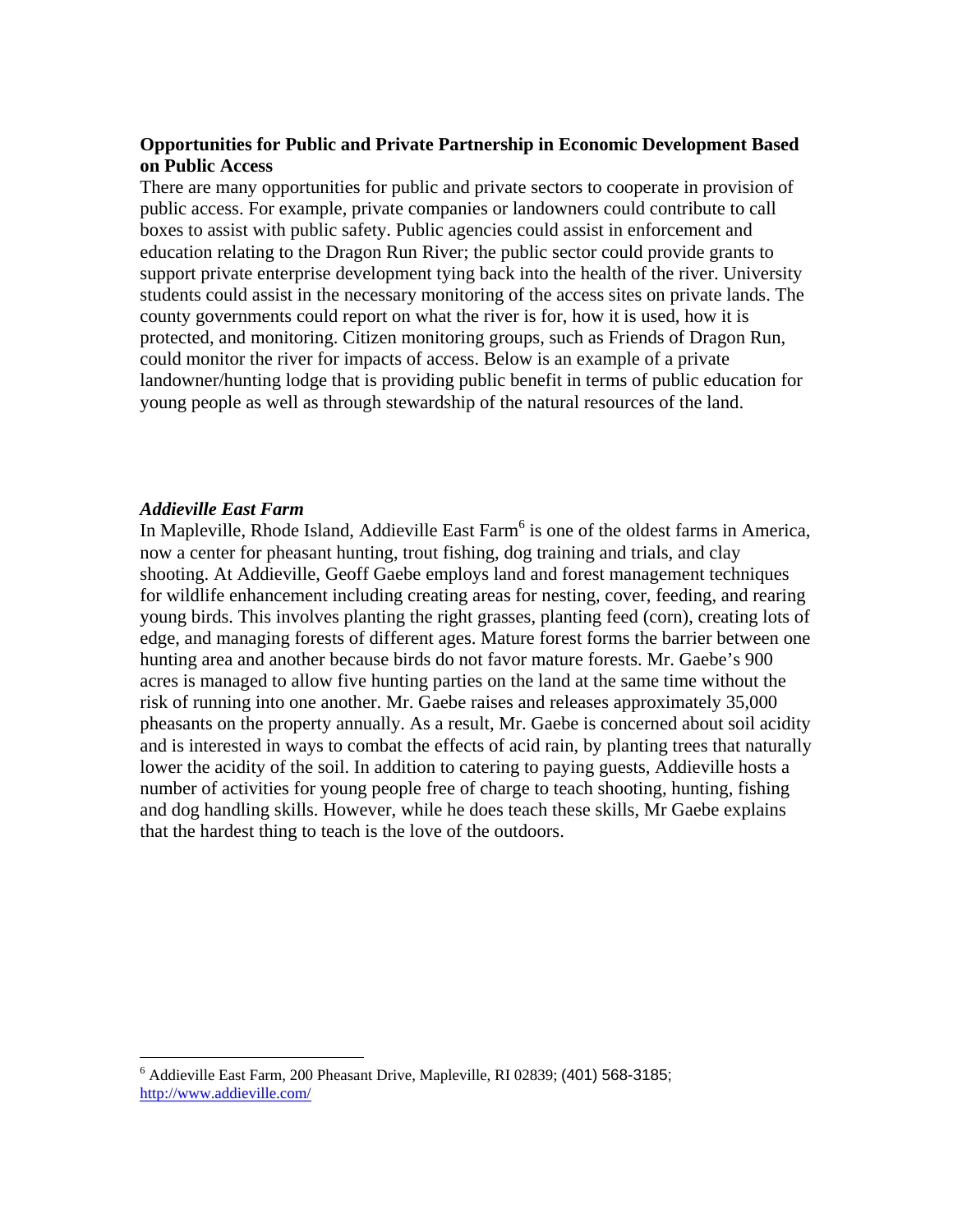## **Opportunities for Public and Private Partnership in Economic Development Based on Public Access**

There are many opportunities for public and private sectors to cooperate in provision of public access. For example, private companies or landowners could contribute to call boxes to assist with public safety. Public agencies could assist in enforcement and education relating to the Dragon Run River; the public sector could provide grants to support private enterprise development tying back into the health of the river. University students could assist in the necessary monitoring of the access sites on private lands. The county governments could report on what the river is for, how it is used, how it is protected, and monitoring. Citizen monitoring groups, such as Friends of Dragon Run, could monitor the river for impacts of access. Below is an example of a private landowner/hunting lodge that is providing public benefit in terms of public education for young people as well as through stewardship of the natural resources of the land.

#### *Addieville East Farm*

 $\overline{a}$ 

In Mapleville, Rhode Island, Addieville East Farm<sup>6</sup> is one of the oldest farms in America, now a center for pheasant hunting, trout fishing, dog training and trials, and clay shooting. At Addieville, Geoff Gaebe employs land and forest management techniques for wildlife enhancement including creating areas for nesting, cover, feeding, and rearing young birds. This involves planting the right grasses, planting feed (corn), creating lots of edge, and managing forests of different ages. Mature forest forms the barrier between one hunting area and another because birds do not favor mature forests. Mr. Gaebe's 900 acres is managed to allow five hunting parties on the land at the same time without the risk of running into one another. Mr. Gaebe raises and releases approximately 35,000 pheasants on the property annually. As a result, Mr. Gaebe is concerned about soil acidity and is interested in ways to combat the effects of acid rain, by planting trees that naturally lower the acidity of the soil. In addition to catering to paying guests, Addieville hosts a number of activities for young people free of charge to teach shooting, hunting, fishing and dog handling skills. However, while he does teach these skills, Mr Gaebe explains that the hardest thing to teach is the love of the outdoors.

<sup>6</sup> Addieville East Farm, 200 Pheasant Drive, Mapleville, RI 02839; (401) 568-3185; http://www.addieville.com/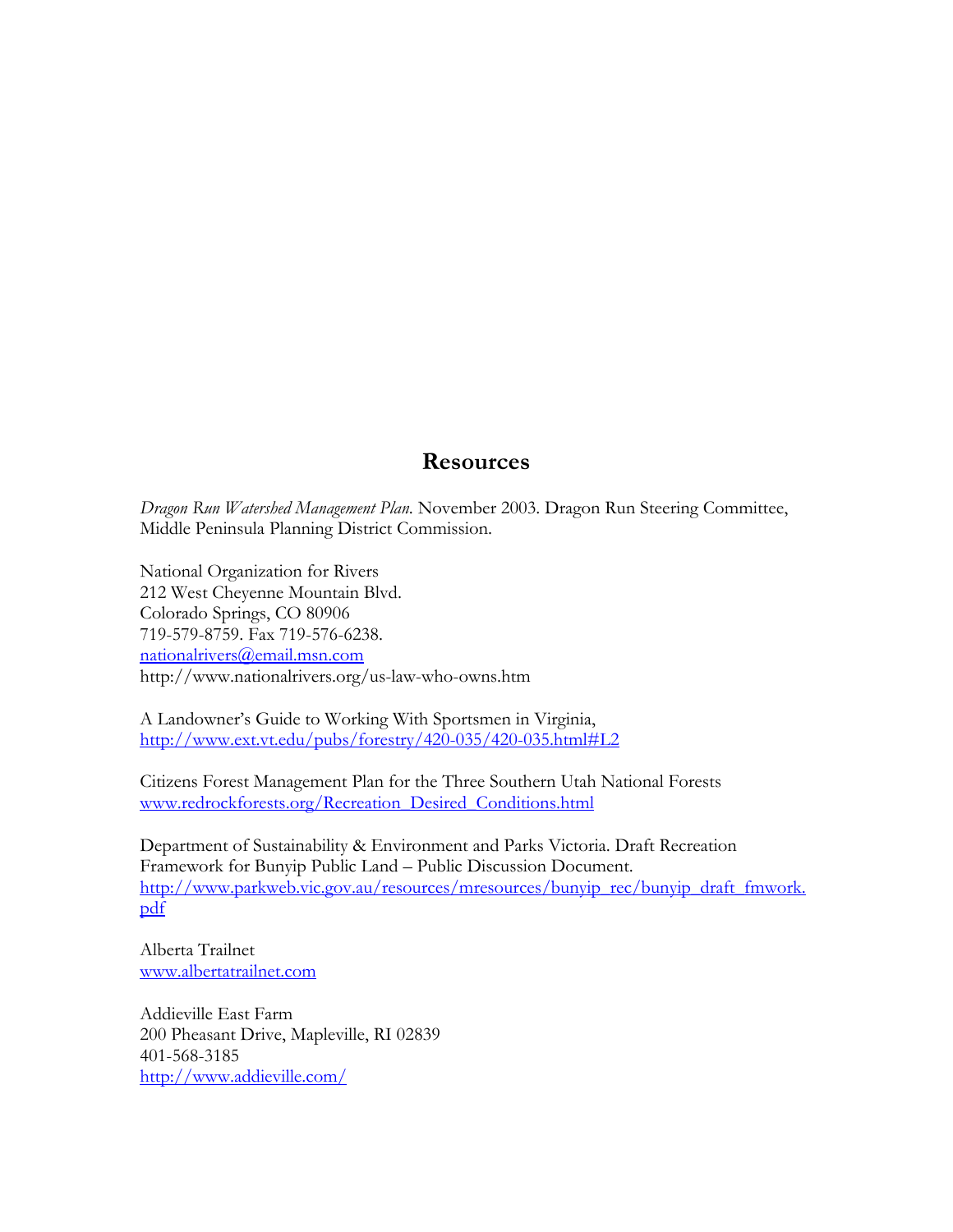## **Resources**

*Dragon Run Watershed Management Plan*. November 2003. Dragon Run Steering Committee, Middle Peninsula Planning District Commission.

National Organization for Rivers 212 West Cheyenne Mountain Blvd. Colorado Springs, CO 80906 719-579-8759. Fax 719-576-6238. nationalrivers@email.msn.com http://www.nationalrivers.org/us-law-who-owns.htm

A Landowner's Guide to Working With Sportsmen in Virginia, http://www.ext.vt.edu/pubs/forestry/420-035/420-035.html#L2

Citizens Forest Management Plan for the Three Southern Utah National Forests www.redrockforests.org/Recreation\_Desired\_Conditions.html

Department of Sustainability & Environment and Parks Victoria. Draft Recreation Framework for Bunyip Public Land – Public Discussion Document. http://www.parkweb.vic.gov.au/resources/mresources/bunyip\_rec/bunyip\_draft\_fmwork. pdf

Alberta Trailnet www.albertatrailnet.com

Addieville East Farm 200 Pheasant Drive, Mapleville, RI 02839 401-568-3185 http://www.addieville.com/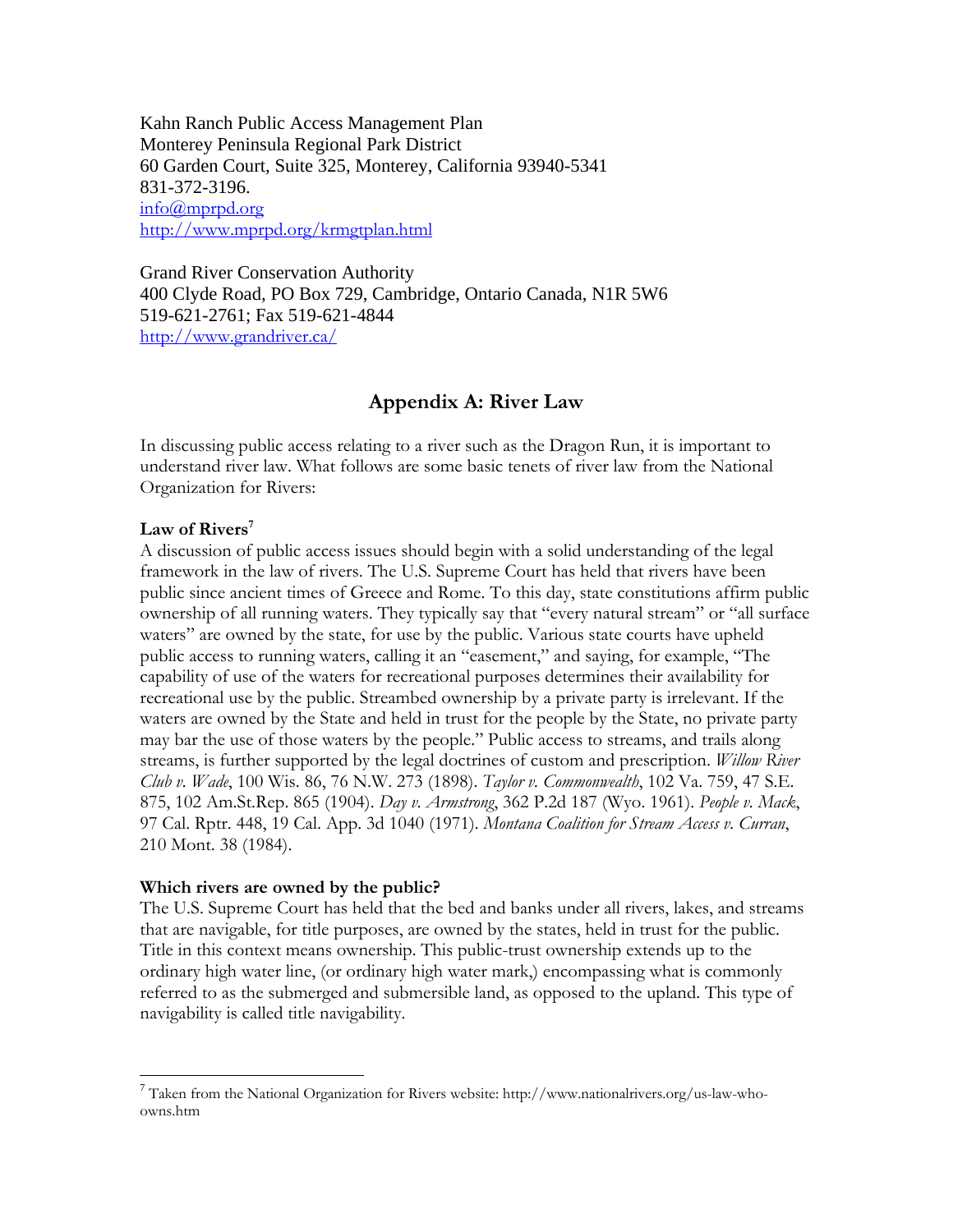Kahn Ranch Public Access Management Plan Monterey Peninsula Regional Park District 60 Garden Court, Suite 325, Monterey, California 93940-5341 831-372-3196. info@mprpd.org http://www.mprpd.org/krmgtplan.html

Grand River Conservation Authority 400 Clyde Road, PO Box 729, Cambridge, Ontario Canada, N1R 5W6 519-621-2761; Fax 519-621-4844 http://www.grandriver.ca/

## **Appendix A: River Law**

In discussing public access relating to a river such as the Dragon Run, it is important to understand river law. What follows are some basic tenets of river law from the National Organization for Rivers:

## Law of Rivers<sup>7</sup>

1

A discussion of public access issues should begin with a solid understanding of the legal framework in the law of rivers. The U.S. Supreme Court has held that rivers have been public since ancient times of Greece and Rome. To this day, state constitutions affirm public ownership of all running waters. They typically say that "every natural stream" or "all surface waters" are owned by the state, for use by the public. Various state courts have upheld public access to running waters, calling it an "easement," and saying, for example, "The capability of use of the waters for recreational purposes determines their availability for recreational use by the public. Streambed ownership by a private party is irrelevant. If the waters are owned by the State and held in trust for the people by the State, no private party may bar the use of those waters by the people." Public access to streams, and trails along streams, is further supported by the legal doctrines of custom and prescription. *Willow River Club v. Wade*, 100 Wis. 86, 76 N.W. 273 (1898). *Taylor v. Commonwealth*, 102 Va. 759, 47 S.E. 875, 102 Am.St.Rep. 865 (1904). *Day v. Armstrong*, 362 P.2d 187 (Wyo. 1961). *People v. Mack*, 97 Cal. Rptr. 448, 19 Cal. App. 3d 1040 (1971). *Montana Coalition for Stream Access v. Curran*, 210 Mont. 38 (1984).

#### **Which rivers are owned by the public?**

The U.S. Supreme Court has held that the bed and banks under all rivers, lakes, and streams that are navigable, for title purposes, are owned by the states, held in trust for the public. Title in this context means ownership. This public-trust ownership extends up to the ordinary high water line, (or ordinary high water mark,) encompassing what is commonly referred to as the submerged and submersible land, as opposed to the upland. This type of navigability is called title navigability.

<sup>7</sup> Taken from the National Organization for Rivers website: http://www.nationalrivers.org/us-law-whoowns.htm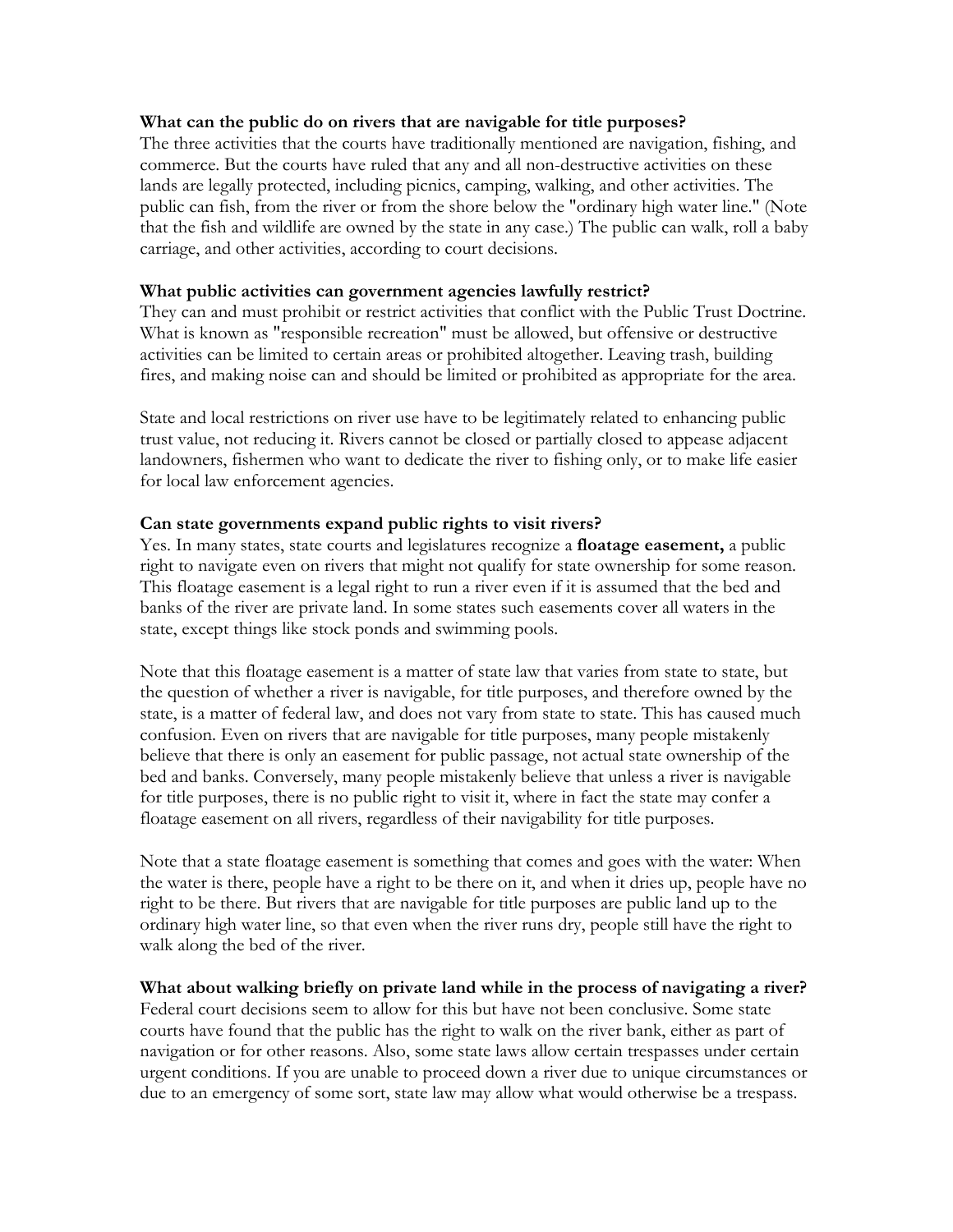#### **What can the public do on rivers that are navigable for title purposes?**

The three activities that the courts have traditionally mentioned are navigation, fishing, and commerce. But the courts have ruled that any and all non-destructive activities on these lands are legally protected, including picnics, camping, walking, and other activities. The public can fish, from the river or from the shore below the "ordinary high water line." (Note that the fish and wildlife are owned by the state in any case.) The public can walk, roll a baby carriage, and other activities, according to court decisions.

#### **What public activities can government agencies lawfully restrict?**

They can and must prohibit or restrict activities that conflict with the Public Trust Doctrine. What is known as "responsible recreation" must be allowed, but offensive or destructive activities can be limited to certain areas or prohibited altogether. Leaving trash, building fires, and making noise can and should be limited or prohibited as appropriate for the area.

State and local restrictions on river use have to be legitimately related to enhancing public trust value, not reducing it. Rivers cannot be closed or partially closed to appease adjacent landowners, fishermen who want to dedicate the river to fishing only, or to make life easier for local law enforcement agencies.

#### **Can state governments expand public rights to visit rivers?**

Yes. In many states, state courts and legislatures recognize a **floatage easement,** a public right to navigate even on rivers that might not qualify for state ownership for some reason. This floatage easement is a legal right to run a river even if it is assumed that the bed and banks of the river are private land. In some states such easements cover all waters in the state, except things like stock ponds and swimming pools.

Note that this floatage easement is a matter of state law that varies from state to state, but the question of whether a river is navigable, for title purposes, and therefore owned by the state, is a matter of federal law, and does not vary from state to state. This has caused much confusion. Even on rivers that are navigable for title purposes, many people mistakenly believe that there is only an easement for public passage, not actual state ownership of the bed and banks. Conversely, many people mistakenly believe that unless a river is navigable for title purposes, there is no public right to visit it, where in fact the state may confer a floatage easement on all rivers, regardless of their navigability for title purposes.

Note that a state floatage easement is something that comes and goes with the water: When the water is there, people have a right to be there on it, and when it dries up, people have no right to be there. But rivers that are navigable for title purposes are public land up to the ordinary high water line, so that even when the river runs dry, people still have the right to walk along the bed of the river.

#### **What about walking briefly on private land while in the process of navigating a river?**

Federal court decisions seem to allow for this but have not been conclusive. Some state courts have found that the public has the right to walk on the river bank, either as part of navigation or for other reasons. Also, some state laws allow certain trespasses under certain urgent conditions. If you are unable to proceed down a river due to unique circumstances or due to an emergency of some sort, state law may allow what would otherwise be a trespass.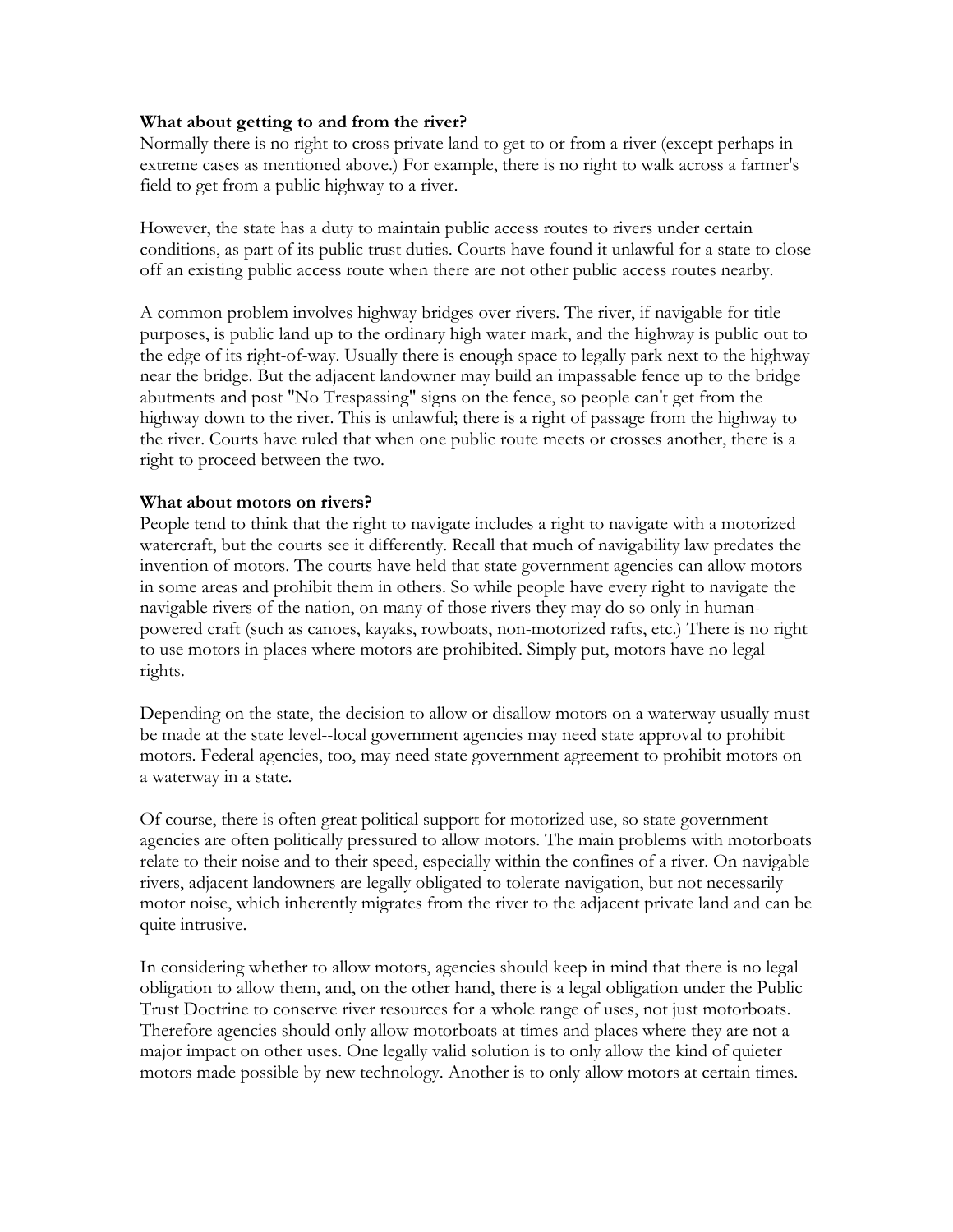#### **What about getting to and from the river?**

Normally there is no right to cross private land to get to or from a river (except perhaps in extreme cases as mentioned above.) For example, there is no right to walk across a farmer's field to get from a public highway to a river.

However, the state has a duty to maintain public access routes to rivers under certain conditions, as part of its public trust duties. Courts have found it unlawful for a state to close off an existing public access route when there are not other public access routes nearby.

A common problem involves highway bridges over rivers. The river, if navigable for title purposes, is public land up to the ordinary high water mark, and the highway is public out to the edge of its right-of-way. Usually there is enough space to legally park next to the highway near the bridge. But the adjacent landowner may build an impassable fence up to the bridge abutments and post "No Trespassing" signs on the fence, so people can't get from the highway down to the river. This is unlawful; there is a right of passage from the highway to the river. Courts have ruled that when one public route meets or crosses another, there is a right to proceed between the two.

#### **What about motors on rivers?**

People tend to think that the right to navigate includes a right to navigate with a motorized watercraft, but the courts see it differently. Recall that much of navigability law predates the invention of motors. The courts have held that state government agencies can allow motors in some areas and prohibit them in others. So while people have every right to navigate the navigable rivers of the nation, on many of those rivers they may do so only in humanpowered craft (such as canoes, kayaks, rowboats, non-motorized rafts, etc.) There is no right to use motors in places where motors are prohibited. Simply put, motors have no legal rights.

Depending on the state, the decision to allow or disallow motors on a waterway usually must be made at the state level--local government agencies may need state approval to prohibit motors. Federal agencies, too, may need state government agreement to prohibit motors on a waterway in a state.

Of course, there is often great political support for motorized use, so state government agencies are often politically pressured to allow motors. The main problems with motorboats relate to their noise and to their speed, especially within the confines of a river. On navigable rivers, adjacent landowners are legally obligated to tolerate navigation, but not necessarily motor noise, which inherently migrates from the river to the adjacent private land and can be quite intrusive.

In considering whether to allow motors, agencies should keep in mind that there is no legal obligation to allow them, and, on the other hand, there is a legal obligation under the Public Trust Doctrine to conserve river resources for a whole range of uses, not just motorboats. Therefore agencies should only allow motorboats at times and places where they are not a major impact on other uses. One legally valid solution is to only allow the kind of quieter motors made possible by new technology. Another is to only allow motors at certain times.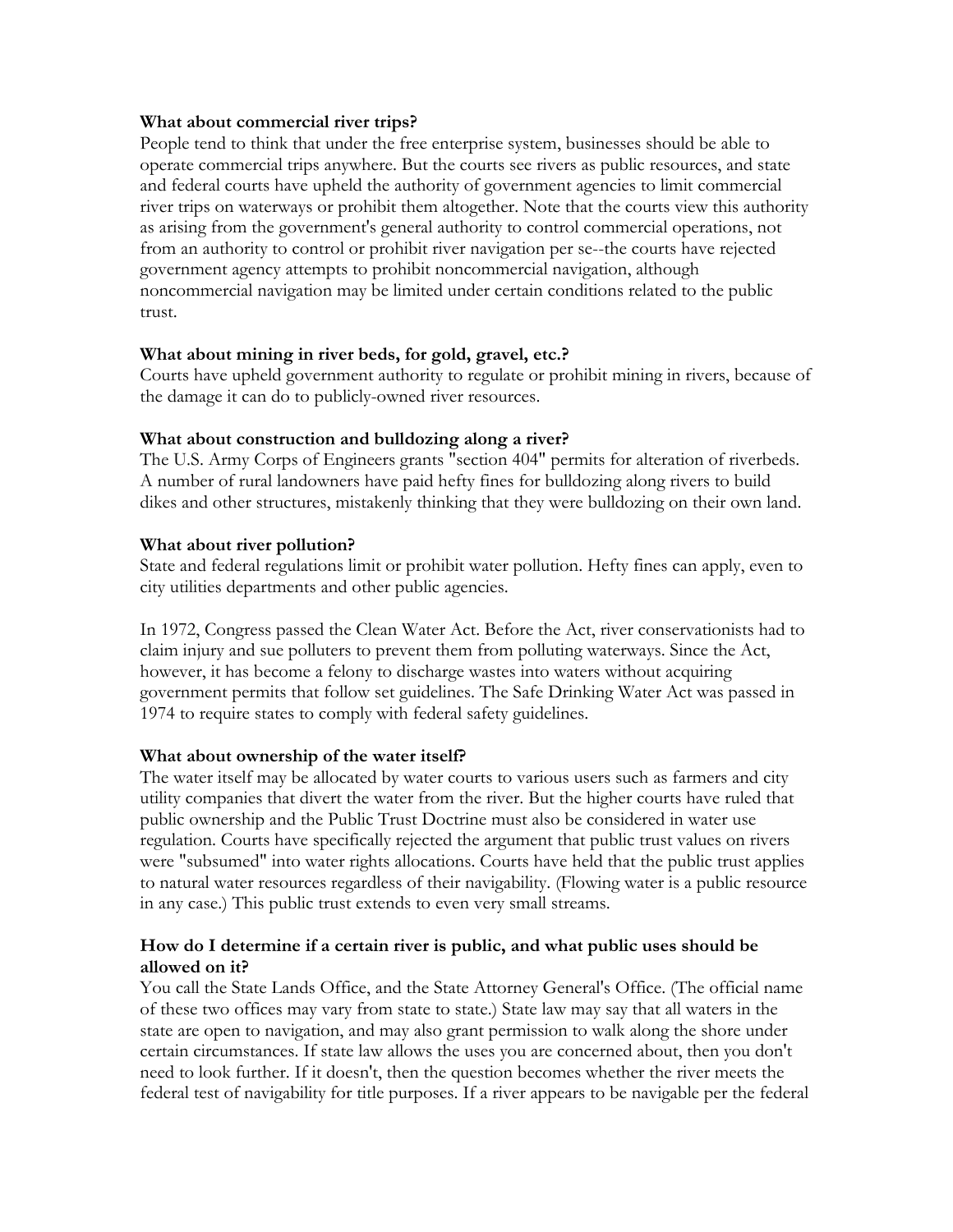#### **What about commercial river trips?**

People tend to think that under the free enterprise system, businesses should be able to operate commercial trips anywhere. But the courts see rivers as public resources, and state and federal courts have upheld the authority of government agencies to limit commercial river trips on waterways or prohibit them altogether. Note that the courts view this authority as arising from the government's general authority to control commercial operations, not from an authority to control or prohibit river navigation per se--the courts have rejected government agency attempts to prohibit noncommercial navigation, although noncommercial navigation may be limited under certain conditions related to the public trust.

#### **What about mining in river beds, for gold, gravel, etc.?**

Courts have upheld government authority to regulate or prohibit mining in rivers, because of the damage it can do to publicly-owned river resources.

## **What about construction and bulldozing along a river?**

The U.S. Army Corps of Engineers grants "section 404" permits for alteration of riverbeds. A number of rural landowners have paid hefty fines for bulldozing along rivers to build dikes and other structures, mistakenly thinking that they were bulldozing on their own land.

#### **What about river pollution?**

State and federal regulations limit or prohibit water pollution. Hefty fines can apply, even to city utilities departments and other public agencies.

In 1972, Congress passed the Clean Water Act. Before the Act, river conservationists had to claim injury and sue polluters to prevent them from polluting waterways. Since the Act, however, it has become a felony to discharge wastes into waters without acquiring government permits that follow set guidelines. The Safe Drinking Water Act was passed in 1974 to require states to comply with federal safety guidelines.

## **What about ownership of the water itself?**

The water itself may be allocated by water courts to various users such as farmers and city utility companies that divert the water from the river. But the higher courts have ruled that public ownership and the Public Trust Doctrine must also be considered in water use regulation. Courts have specifically rejected the argument that public trust values on rivers were "subsumed" into water rights allocations. Courts have held that the public trust applies to natural water resources regardless of their navigability. (Flowing water is a public resource in any case.) This public trust extends to even very small streams.

## **How do I determine if a certain river is public, and what public uses should be allowed on it?**

You call the State Lands Office, and the State Attorney General's Office. (The official name of these two offices may vary from state to state.) State law may say that all waters in the state are open to navigation, and may also grant permission to walk along the shore under certain circumstances. If state law allows the uses you are concerned about, then you don't need to look further. If it doesn't, then the question becomes whether the river meets the federal test of navigability for title purposes. If a river appears to be navigable per the federal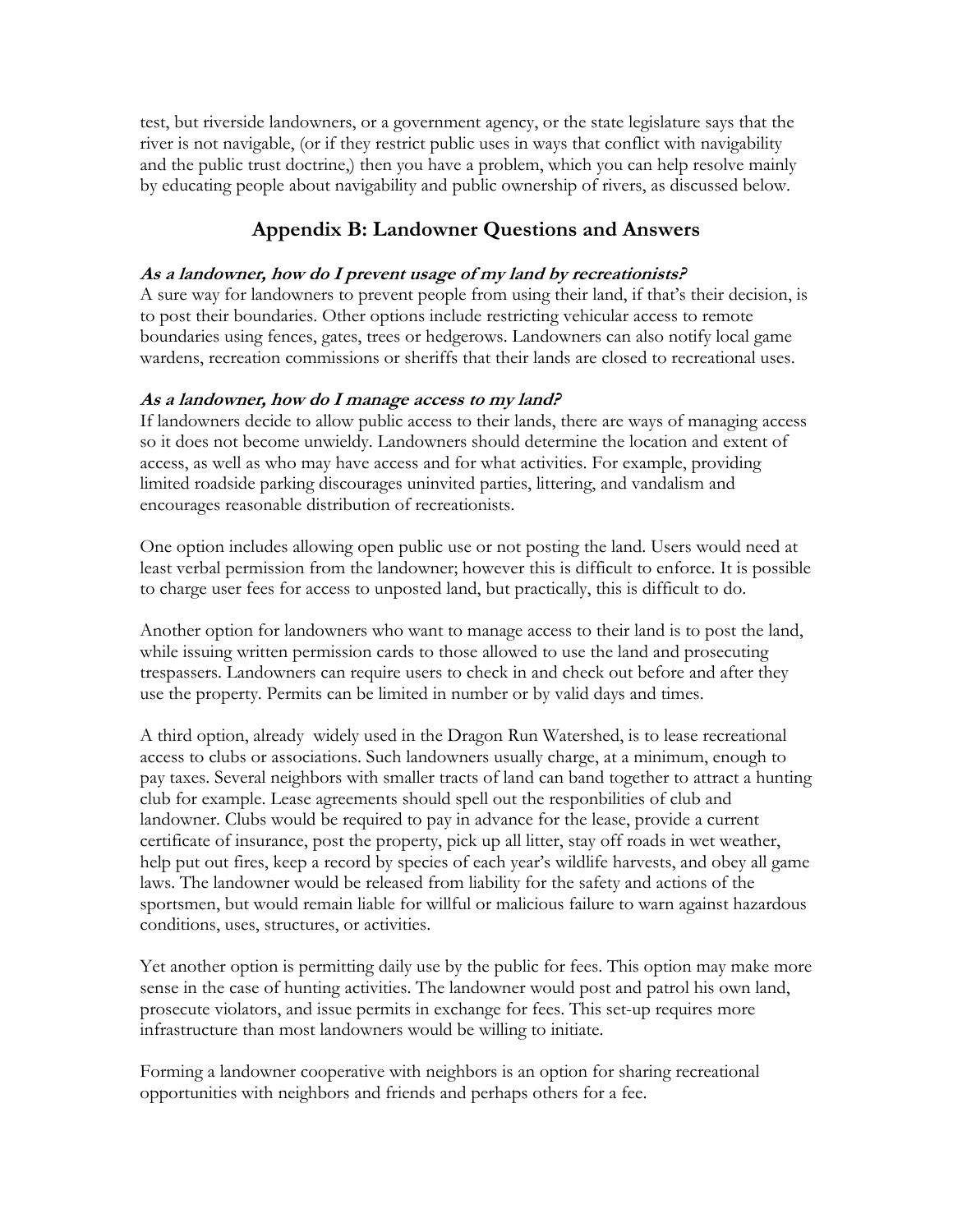test, but riverside landowners, or a government agency, or the state legislature says that the river is not navigable, (or if they restrict public uses in ways that conflict with navigability and the public trust doctrine,) then you have a problem, which you can help resolve mainly by educating people about navigability and public ownership of rivers, as discussed below.

## **Appendix B: Landowner Questions and Answers**

## **As a landowner, how do I prevent usage of my land by recreationists?**

A sure way for landowners to prevent people from using their land, if that's their decision, is to post their boundaries. Other options include restricting vehicular access to remote boundaries using fences, gates, trees or hedgerows. Landowners can also notify local game wardens, recreation commissions or sheriffs that their lands are closed to recreational uses.

## **As a landowner, how do I manage access to my land?**

If landowners decide to allow public access to their lands, there are ways of managing access so it does not become unwieldy. Landowners should determine the location and extent of access, as well as who may have access and for what activities. For example, providing limited roadside parking discourages uninvited parties, littering, and vandalism and encourages reasonable distribution of recreationists.

One option includes allowing open public use or not posting the land. Users would need at least verbal permission from the landowner; however this is difficult to enforce. It is possible to charge user fees for access to unposted land, but practically, this is difficult to do.

Another option for landowners who want to manage access to their land is to post the land, while issuing written permission cards to those allowed to use the land and prosecuting trespassers. Landowners can require users to check in and check out before and after they use the property. Permits can be limited in number or by valid days and times.

A third option, already widely used in the Dragon Run Watershed, is to lease recreational access to clubs or associations. Such landowners usually charge, at a minimum, enough to pay taxes. Several neighbors with smaller tracts of land can band together to attract a hunting club for example. Lease agreements should spell out the responbilities of club and landowner. Clubs would be required to pay in advance for the lease, provide a current certificate of insurance, post the property, pick up all litter, stay off roads in wet weather, help put out fires, keep a record by species of each year's wildlife harvests, and obey all game laws. The landowner would be released from liability for the safety and actions of the sportsmen, but would remain liable for willful or malicious failure to warn against hazardous conditions, uses, structures, or activities.

Yet another option is permitting daily use by the public for fees. This option may make more sense in the case of hunting activities. The landowner would post and patrol his own land, prosecute violators, and issue permits in exchange for fees. This set-up requires more infrastructure than most landowners would be willing to initiate.

Forming a landowner cooperative with neighbors is an option for sharing recreational opportunities with neighbors and friends and perhaps others for a fee.